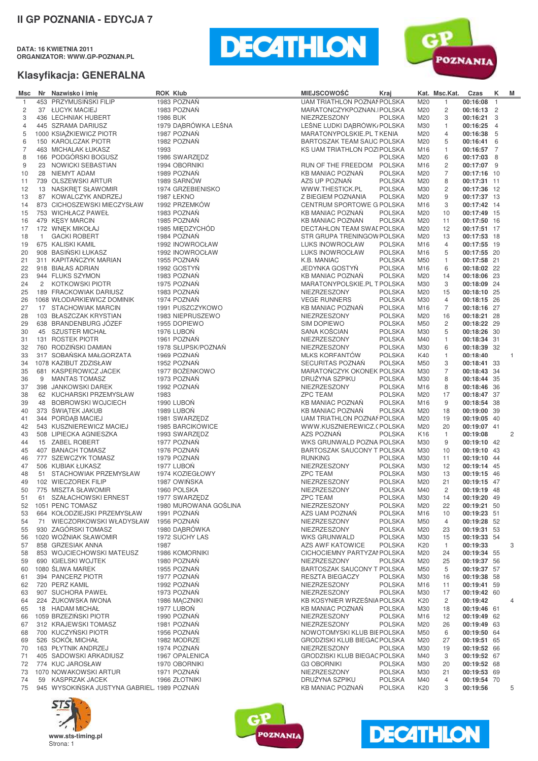**DATA: 16 KWIETNIA 2011 ORGANIZATOR: WWW.GP-POZNAN.PL**





| Msc            |                | Nr Nazwisko i imię                          | <b>ROK Klub</b>       | <b>MIEJSCOWOŚĆ</b>           | Kraj          |                 | Kat. Msc.Kat.           | Czas        | κ              | M              |
|----------------|----------------|---------------------------------------------|-----------------------|------------------------------|---------------|-----------------|-------------------------|-------------|----------------|----------------|
| $\mathbf{1}$   |                | 453 PRZYMUSIŃSKI FILIP                      | 1983 POZNAŃ           | UAM TRIATHLON POZNAI POLSKA  |               | M20             | $\mathbf{1}$            | 00:16:08    | $\mathbf{1}$   |                |
| 2              |                | 37 ŁUCYK MACIEJ                             | 1983 POZNAŃ           | MARATONCZYKPOZNAN.IPOLSKA    |               | M20             | 2                       | 00:16:13 2  |                |                |
|                |                | 436 LECHNIAK HUBERT                         |                       | NIEZRZESZONY                 | <b>POLSKA</b> |                 |                         |             |                |                |
| 3              |                |                                             | 1986 BUK              |                              |               | M20             | 3                       | 00:16:21 3  |                |                |
| 4              |                | 445 SZRAMA DARIUSZ                          | 1979 DABRÓWKA LEŚNA   | LEŚNE LUDKI DĄBRÓWK/POLSKA   |               | M30             | 1                       | 00:16:25    | $\overline{4}$ |                |
| 5              |                | 1000 KSIAŻKIEWICZ PIOTR                     | 1987 POZNAŃ           | MARATONYPOLSKIE.PL TKENIA    |               | M20             | $\overline{4}$          | 00:16:38    | - 5            |                |
| 6              |                | 150 KAROLCZAK PIOTR                         | 1982 POZNAŃ           | BARTOSZAK TEAM SAUC POLSKA   |               | M20             | 5                       | 00:16:41 6  |                |                |
| $\overline{7}$ |                | 463 MICHALAK ŁUKASZ                         | 1993                  |                              |               | M16             | 1                       |             |                |                |
|                |                |                                             |                       | KS UAM TRIATHLON POZIPOLSKA  |               |                 |                         | 00:16:57 7  |                |                |
| 8              |                | 166 PODGÓRSKI BOGUSZ                        | 1986 SWARZEDZ         |                              | <b>POLSKA</b> | M20             | 6                       | 00:17:03 8  |                |                |
| 9              |                | 23 NOWICKI SEBASTIAN                        | 1994 OBORNIKI         | RUN OF THE FREEDOM POLSKA    |               | M16             | $\overline{c}$          | 00:17:07 9  |                |                |
| 10             |                | 28 NIEMYT ADAM                              | 1989 POZNAŃ           | <b>KB MANIAC POZNAN</b>      | <b>POLSKA</b> | M20             | 7                       | 00:17:16 10 |                |                |
|                |                |                                             |                       |                              |               |                 |                         |             |                |                |
| 11             |                | 739 OLSZEWSKI ARTUR                         | 1989 SARNÓW           | AZS UP POZNAŃ                | <b>POLSKA</b> | M20             | 8                       | 00:17:31 11 |                |                |
| 12             |                | 13 NASKRET SŁAWOMIR                         | 1974 GRZEBIENISKO     | WWW.THESTICK.PL              | <b>POLSKA</b> | M30             | $\overline{\mathbf{c}}$ | 00:17:36 12 |                |                |
| 13             |                | 87 KOWALCZYK ANDRZEJ                        | <b>1987 ŁEKNO</b>     | Z BIEGIEM POZNANIA           | <b>POLSKA</b> | M20             | 9                       | 00:17:37 13 |                |                |
|                |                |                                             |                       |                              |               |                 |                         |             |                |                |
| 14             |                | 873 CICHOSZEWSKI MIECZYSŁAW                 | 1992 PRZEMKÓW         | CENTRUM SPORTOWE G POLSKA    |               | M16             | 3                       | 00:17:42 14 |                |                |
| 15             |                | 753 WICHŁACZ PAWEŁ                          | 1983 POZNAN           | <b>KB MANIAC POZNAN</b>      | <b>POLSKA</b> | M20             | 10                      | 00:17:49 15 |                |                |
| 16             |                | 479 KESY MARCIN                             | 1985 POZNAŃ           | <b>KB MANIAC POZNAN</b>      | <b>POLSKA</b> | M20             | 11                      | 00:17:50 16 |                |                |
| 17             |                | 172 WNEK MIKOŁAJ                            | 1985 MIEDZYCHÓD       | DECTAHLON TEAM SWALPOLSKA    |               | M20             | 12                      | 00:17:51 17 |                |                |
|                |                |                                             |                       |                              |               |                 |                         |             |                |                |
| 18             | $\mathbf{1}$   | <b>GACKI ROBERT</b>                         | 1984 POZNAŃ           | STR GRUPA TRENINGOW POLSKA   |               | M20             | 13                      | 00:17:53 18 |                |                |
| 19             |                | 675 KALISKI KAMIL                           | 1992 INOWROCŁAW       | LUKS INOWROCŁAW              | <b>POLSKA</b> | M16             | $\overline{4}$          | 00:17:55 19 |                |                |
| 20             |                | 908 BASIŃSKI ŁUKASZ                         | 1992 INOWROCŁAW       | LUKS INOWROCŁAW              | <b>POLSKA</b> | M16             | 5                       | 00:17:55 20 |                |                |
| 21             |                | 311 KAPITANCZYK MARIAN                      | 1955 POZNAŃ           | K.B. MANIAC                  | <b>POLSKA</b> | M50             | $\mathbf{1}$            | 00:17:58 21 |                |                |
|                |                |                                             |                       |                              |               |                 |                         |             |                |                |
| 22             |                | 918 BIAŁAS ADRIAN                           | 1992 GOSTYN           | <b>JEDYNKA GOSTYN</b>        | <b>POLSKA</b> | M16             | 6                       | 00:18:02 22 |                |                |
| 23             |                | 944 FLUKS SZYMON                            | 1983 POZNAŃ           | <b>KB MANIAC POZNAN</b>      | <b>POLSKA</b> | M20             | 14                      | 00:18:06 23 |                |                |
| 24             | $\overline{2}$ | KOTKOWSKI PIOTR                             | 1975 POZNAŃ           | MARATONYPOLSKIE.PL T POLSKA  |               | M30             | 3                       | 00:18:09 24 |                |                |
|                |                |                                             | 1983 POZNAŃ           |                              |               |                 |                         |             |                |                |
| 25             |                | 189 FRACKOWIAK DARIUSZ                      |                       | NIEZRZESZONY                 | <b>POLSKA</b> | M20             | 15                      | 00:18:10 25 |                |                |
| 26             |                | 1068 WŁODARKIEWICZ DOMINIK                  | 1974 POZNAŃ           | <b>VEGE RUNNERS</b>          | <b>POLSKA</b> | M30             | 4                       | 00:18:15 26 |                |                |
| 27             |                | 17 STACHOWIAK MARCIN                        | 1991 PUSZCZYKOWO      | KB MANIAC POZNAŃ             | <b>POLSKA</b> | M16             | 7                       | 00:18:16 27 |                |                |
| 28             |                | 103 BŁASZCZAK KRYSTIAN                      | 1983 NIEPRUSZEWO      | NIEZRZESZONY                 | <b>POLSKA</b> | M20             | 16                      | 00:18:21 28 |                |                |
|                |                |                                             |                       |                              |               |                 |                         |             |                |                |
| 29             |                | 638 BRANDENBURG JÓZEF                       | 1955 DOPIEWO          | <b>SIM DOPIEWO</b>           | <b>POLSKA</b> | M50             | 2                       | 00:18:22 29 |                |                |
| 30             |                | 45 SZUSTER MICHAŁ                           | 1976 LUBOŃ            | SANA KOŚCIAN                 | <b>POLSKA</b> | M30             | 5                       | 00:18:26 30 |                |                |
| 31             |                | 131 ROSTEK PIOTR                            | 1961 POZNAŃ           | NIEZRZESZONY                 | <b>POLSKA</b> | M40             | 1                       | 00:18:34 31 |                |                |
| 32             |                | 760 RODZINSKI DAMIAN                        | 1978 SŁUPSK/POZNAŃ    | NIEZRZESZONY                 | <b>POLSKA</b> | M30             | 6                       | 00:18:39 32 |                |                |
|                |                |                                             |                       |                              |               |                 |                         |             |                |                |
| 33             |                | 317 SOBAŃSKA MAŁGORZATA                     | 1969 POZNAŃ           | MLKS KORFANTÓW               | <b>POLSKA</b> | K40             | $\mathbf{1}$            | 00:18:40    |                | 1              |
| 34             |                | 1078 KAZIBUT ZDZISŁAW                       | 1952 POZNAŃ           | SECURITAS POZNAN             | <b>POLSKA</b> | M50             | 3                       | 00:18:41 33 |                |                |
| 35             |                | 681 KASPEROWICZ JACEK                       | 1977 BOŽENKOWO        | MARATOŃCZYK OKONEK POLSKA    |               | M30             | 7                       | 00:18:43 34 |                |                |
| 36             | 9              | <b>MANTAS TOMASZ</b>                        | 1973 POZNAŃ           | DRUŻYNA SZPIKU               | <b>POLSKA</b> | M30             | 8                       |             |                |                |
|                |                |                                             |                       |                              |               |                 |                         | 00:18:44 35 |                |                |
| 37             |                | 398 JANKOWSKI DAREK                         | 1992 POZNAŃ           | NIEZRZESZONY                 | <b>POLSKA</b> | M16             | 8                       | 00:18:46 36 |                |                |
| 38             |                | 62 KUCHARSKI PRZEMYSŁAW                     | 1983                  | <b>ZPC TEAM</b>              | <b>POLSKA</b> | M20             | 17                      | 00:18:47 37 |                |                |
| 39             |                | 48 BOBROWSKI WOJCIECH                       | 1990 LUBOŃ            | <b>KB MANIAC POZNAN</b>      | <b>POLSKA</b> | M16             | 9                       | 00:18:54 38 |                |                |
|                |                |                                             |                       |                              |               |                 |                         |             |                |                |
| 40             |                | 373 ŚWIĄTEK JAKUB                           | 1989 LUBOŃ            | <b>KB MANIAC POZNAN</b>      | <b>POLSKA</b> | M20             | 18                      | 00:19:00 39 |                |                |
| 41             |                | 344 PORDĄB MACIEJ                           | 1981 SWARZEDZ         | UAM TRIATHLON POZNAI POLSKA  |               | M20             | 19                      | 00:19:05 40 |                |                |
| 42             |                | 543 KUSZNIEREWICZ MACIEJ                    | 1985 BARCIKOWICE      | WWW.KUSZNIEREWICZ.(POLSKA    |               | M20             | 20                      | 00:19:07 41 |                |                |
| 43             |                | 508 LIPIECKA AGNIESZKA                      | 1993 SWARZEDZ         | AZS POZNAŃ                   | <b>POLSKA</b> | K <sub>16</sub> | 1                       | 00:19:08    |                | $\overline{c}$ |
|                |                |                                             |                       |                              |               |                 |                         |             |                |                |
| 44             |                | 15 ZABEL ROBERT                             | 1977 POZNAŃ           | WKS GRUNWALD POZNA POLSKA    |               | M30             | 9                       | 00:19:10 42 |                |                |
| 45             |                | 407 BANACH TOMASZ                           | 1976 POZNAŃ           | BARTOSZAK SAUCONY T POLSKA   |               | M30             | 10                      | 00:19:10 43 |                |                |
| 46             |                | 777 SZEWCZYK TOMASZ                         | 1979 POZNAŃ           | <b>RUNKING</b>               | <b>POLSKA</b> | M30             | 11                      | 00:19:10 44 |                |                |
| 47             |                | 506 KUBIAK ŁUKASZ                           | 1977 LUBON            | NIEZRZESZONY                 | <b>POLSKA</b> | M30             | 12                      | 00:19:14 45 |                |                |
|                |                |                                             |                       |                              |               |                 |                         |             |                |                |
| 48             |                | 51 STACHOWIAK PRZEMYSŁAW                    | 1974 KOZIEGŁOWY       | <b>ZPC TEAM</b>              | <b>POLSKA</b> | M30             | 13                      | 00:19:15 46 |                |                |
| 49             |                | 102 WIECZOREK FILIP                         | 1987 OWIŃSKA          | NIEZRZESZONY                 | <b>POLSKA</b> | M20             | 21                      | 00:19:15 47 |                |                |
| 50             |                | 775 MISZTA SŁAWOMIR                         | 1960 POLSKA           | NIEZRZESZONY                 | <b>POLSKA</b> | M40             | $\overline{\mathbf{c}}$ | 00:19:19 48 |                |                |
| 51             |                | 61 SZAŁACHOWSKI ERNEST                      | 1977 SWARZEDZ         | <b>ZPC TEAM</b>              | <b>POLSKA</b> | M30             | 14                      | 00:19:20 49 |                |                |
|                |                |                                             |                       |                              |               |                 |                         |             |                |                |
| 52             |                | 1051 PENC TOMASZ                            | 1980 MUROWANA GOŚLINA | NIEZRZESZONY                 | <b>POLSKA</b> | M20             | 22                      | 00:19:21 50 |                |                |
| 53             |                | 664 KOŁODZIEJSKI PRZEMYSŁAW                 | 1991 POZNAŃ           | AZS UAM POZNAŃ               | <b>POLSKA</b> | M16             | 10                      | 00:19:23 51 |                |                |
| 54             |                | 71 WIECZORKOWSKI WŁADYSŁAW 1956 POZNAŃ      |                       | NIEZRZESZONY                 | <b>POLSKA</b> | M50             | 4                       | 00:19:28 52 |                |                |
|                |                | 930 ZAGÓRSKI TOMASZ                         | 1980 DABRÓWKA         | NIEZRZESZONY                 |               |                 |                         |             |                |                |
| 55             |                |                                             |                       |                              | <b>POLSKA</b> | M20             | 23                      | 00:19:31 53 |                |                |
| 56             |                | 1020 WOŻNIAK SŁAWOMIR                       | 1972 SUCHY LAS        | WKS GRUNWALD                 | <b>POLSKA</b> | M30             | 15                      | 00:19:33 54 |                |                |
| 57             |                | 858 GRZESIAK ANNA                           | 1987                  | AZS AWF KATOWICE             | <b>POLSKA</b> | K20             | $\mathbf{1}$            | 00:19:33    |                | 3              |
| 58             |                | 853 WOJCIECHOWSKI MATEUSZ                   | 1986 KOMORNIKI        | CICHOCIEMNY PARTYZAI POLSKA  |               | M20             | 24                      | 00:19:34 55 |                |                |
|                |                |                                             |                       |                              |               |                 |                         |             |                |                |
| 59             |                | 690 IGIELSKI WOJTEK                         | 1980 POZNAŃ           | NIEZRZESZONY                 | <b>POLSKA</b> | M20             | 25                      | 00:19:37 56 |                |                |
| 60             |                | 1080 SLIWA MAREK                            | 1955 POZNAŃ           | BARTOSZAK SAUCONY T POLSKA   |               | M50             | 5                       | 00:19:37 57 |                |                |
| 61             |                | 394 PANCERZ PIOTR                           | 1977 POZNAŃ           | RESZTA BIEGACZY              | <b>POLSKA</b> | M30             | 16                      | 00:19:38 58 |                |                |
| 62             |                | 720 PERZ KAMIL                              | 1992 POZNAŃ           | NIEZRZESZONY                 | <b>POLSKA</b> | M16             | 11                      | 00:19:41 59 |                |                |
|                |                |                                             |                       |                              |               |                 |                         |             |                |                |
| 63             |                | 907 SUCHORA PAWEŁ                           | 1973 POZNAŃ           | NIEZRZESZONY                 | <b>POLSKA</b> | M30             | 17                      | 00:19:42 60 |                |                |
| 64             |                | 224 ŻUKOWSKA IWONA                          | 1986 MACZNIKI         | KB KOSYNIER WRZEŚNIA POLSKA  |               | K20             | 2                       | 00:19:42    |                | $\overline{4}$ |
| 65             |                | 18 HADAM MICHAŁ                             | 1977 LUBOŃ            | <b>KB MANIAC POZNAN</b>      | <b>POLSKA</b> | M30             | 18                      | 00:19:46 61 |                |                |
|                |                | 1059 BRZEZIŃSKI PIOTR                       | 1990 POZNAŃ           |                              |               |                 |                         |             |                |                |
| 66             |                |                                             |                       | NIEZRZESZONY                 | <b>POLSKA</b> | M16             | 12                      | 00:19:49 62 |                |                |
| 67             |                | 312 KRAJEWSKI TOMASZ                        | 1981 POZNAŃ           | NIEZRZESZONY                 | <b>POLSKA</b> | M20             | 26                      | 00:19:49 63 |                |                |
| 68             |                | 700 KUCZYŃSKI PIOTR                         | 1956 POZNAŃ           | NOWOTOMYSKI KLUB BIE POLSKA  |               | M50             | 6                       | 00:19:50 64 |                |                |
| 69             |                | 526 SOKÓŁ MICHAŁ                            | 1982 MODRZE           | GRODZISKI KLUB BIEGAC POLSKA |               | M20             | 27                      | 00:19:51 65 |                |                |
|                |                |                                             |                       |                              |               |                 |                         |             |                |                |
| 70             |                | 163 PŁYTNIK ANDRZEJ                         | 1974 POZNAŃ           | NIEZRZESZONY                 | <b>POLSKA</b> | M30             | 19                      | 00:19:52 66 |                |                |
| 71             |                | 405 SADOWSKI ARKADIUSZ                      | 1967 OPALENICA        | GRODZISKI KLUB BIEGAC POLSKA |               | M40             | 3                       | 00:19:52 67 |                |                |
| 72             |                | 774 KUC JAROSŁAW                            | 1970 OBORNIKI         | <b>G3 OBORNIKI</b>           | <b>POLSKA</b> | M30             | 20                      | 00:19:52 68 |                |                |
| 73             |                | 1070 NOWAKOWSKI ARTUR                       | 1971 POZNAŃ           | NIEZRZESZONY                 | <b>POLSKA</b> | M30             | 21                      | 00:19:53 69 |                |                |
|                |                | 59 KASPRZAK JACEK                           |                       | DRUŻYNA SZPIKU               |               |                 | 4                       |             |                |                |
| 74             |                |                                             | 1966 ZŁOTNIKI         |                              | <b>POLSKA</b> | M40             |                         | 00:19:54 70 |                |                |
| 75             |                | 945 WYSOKIŃSKA JUSTYNA GABRIEL, 1989 POZNAŃ |                       | KB MANIAC POZNAŃ             | <b>POLSKA</b> | K <sub>20</sub> | 3                       | 00:19:56    |                | 5              |





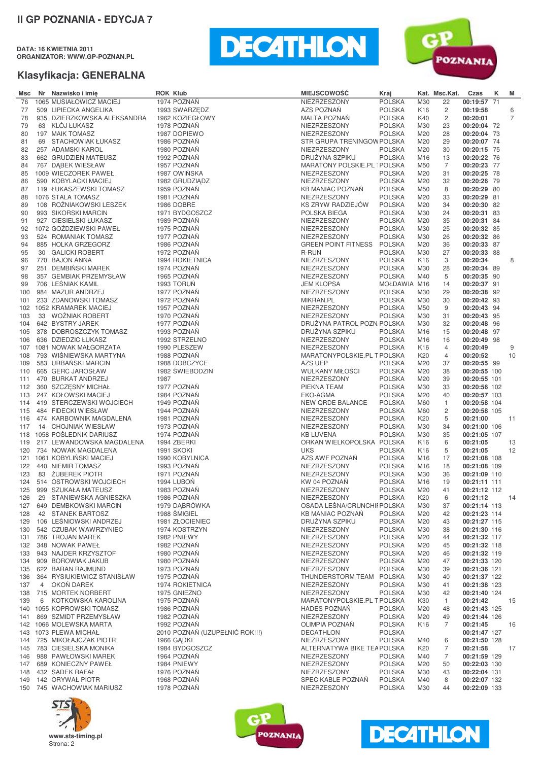**DATA: 16 KWIETNIA 2011 ORGANIZATOR: WWW.GP-POZNAN.PL**





| Msc        |                | Nr Nazwisko i imię                                 | <b>ROK Klub</b> |                                | <b>MIEJSCOWOŚĆ</b>                  | Kraj                           |                        | Kat. Msc.Kat.  | Czas                         | Κ | M              |
|------------|----------------|----------------------------------------------------|-----------------|--------------------------------|-------------------------------------|--------------------------------|------------------------|----------------|------------------------------|---|----------------|
| 76         |                | 1065 MUSIAŁOWICZ MACIEJ                            |                 | 1974 POZNAŃ                    | NIEZRZESZONY                        | <b>POLSKA</b>                  | M30                    | 22             | 00:19:57 71                  |   |                |
| 77         |                | 509 LIPIECKA ANGELIKA                              |                 | 1993 SWARZEDZ                  | AZS POZNAŃ                          | <b>POLSKA</b>                  | K <sub>16</sub>        | $\overline{c}$ | 00:19:58                     |   | 6              |
| 78         |                | 935 DZIERZKOWSKA ALEKSANDRA                        |                 | 1962 KOZIEGŁOWY                | MALTA POZNAŃ                        | <b>POLSKA</b>                  | K40                    | $\overline{c}$ | 00:20:01                     |   | $\overline{7}$ |
| 79         |                | 63 KLÓJ ŁUKASZ                                     |                 | 1978 POZNAŃ                    | NIEZRZESZONY                        | <b>POLSKA</b>                  | M30                    | 23             | 00:20:04 72                  |   |                |
| 80         |                | 197 MAIK TOMASZ                                    |                 | 1987 DOPIEWO                   | NIEZRZESZONY                        | <b>POLSKA</b>                  | M20                    | 28             | 00:20:04 73                  |   |                |
| 81         |                | 69 STACHOWIAK ŁUKASZ                               |                 | 1986 POZNAŃ                    | STR GRUPA TRENINGOW POLSKA          |                                | M20                    | 29             | 00:20:07 74                  |   |                |
| 82         |                | 257 ADAMSKI KAROL                                  |                 | 1980 POZNAŃ                    | NIEZRZESZONY                        | <b>POLSKA</b>                  | M20                    | 30             | 00:20:15 75                  |   |                |
| 83         |                | 662 GRUDZIEŃ MATEUSZ                               |                 | 1992 POZNAŃ                    | DRUŻYNA SZPIKU                      | <b>POLSKA</b>                  | M16                    | 13             | 00:20:22 76                  |   |                |
| 84         |                | 767 DABEK WIESŁAW                                  |                 | 1957 POZNAŃ                    | MARATONY POLSKIE.PL 1POLSKA         |                                | M50                    | 7              | 00:20:23 77                  |   |                |
| 85         |                | 1009 WIECZOREK PAWEŁ                               |                 | 1987 OWIŃSKA                   | NIEZRZESZONY                        | <b>POLSKA</b>                  | M20                    | 31             | 00:20:25 78                  |   |                |
| 86         |                | 590 KOBYLACKI MACIEJ                               |                 | 1982 GRUDZIĄDZ                 | NIEZRZESZONY                        | <b>POLSKA</b>                  | M20                    | 32             | 00:20:26 79                  |   |                |
| 87         |                | 119 ŁUKASZEWSKI TOMASZ                             |                 | 1959 POZNAŃ                    | KB MANIAC POZNAŃ                    | <b>POLSKA</b>                  | M50                    | 8              | 00:20:29 80                  |   |                |
| 88         |                | 1076 STALA TOMASZ                                  |                 | 1981 POZNAŃ                    | NIEZRZESZONY                        | <b>POLSKA</b>                  | M20                    | 33             | 00:20:29 81                  |   |                |
| 89         |                | 108 ROŻNIAKOWSKI LESZEK                            |                 | 1986 DOBRE                     | KS ZRYW RADZIEJÓW                   | <b>POLSKA</b>                  | M20                    | 34             | 00:20:30 82                  |   |                |
| 90         |                | 993 SIKORSKI MARCIN                                |                 | 1971 BYDGOSZCZ                 | POLSKA BIEGA                        | <b>POLSKA</b>                  | M30                    | 24             | 00:20:31 83                  |   |                |
| 91         |                | 927 CIESIELSKI ŁUKASZ                              |                 | 1989 POZNAŃ                    | NIEZRZESZONY                        | <b>POLSKA</b>                  | M20                    | 35             | 00:20:31 84                  |   |                |
| 92         |                | 1072 GOŻDZIEWSKI PAWEŁ                             |                 | 1975 POZNAŃ                    | NIEZRZESZONY                        | <b>POLSKA</b>                  | M30                    | 25             | 00:20:32 85                  |   |                |
| 93         |                | 524 ROMANIAK TOMASZ                                |                 | 1977 POZNAŃ                    | NIEZRZESZONY                        | <b>POLSKA</b>                  | M30                    | 26             | 00:20:32 86                  |   |                |
| 94         |                | 885 HOLKA GRZEGORZ                                 |                 | 1986 POZNAŃ                    | <b>GREEN POINT FITNESS</b>          | <b>POLSKA</b>                  | M20                    | 36             | 00:20:33 87                  |   |                |
| 95         |                | 30 GALICKI ROBERT                                  |                 | 1972 POZNAŃ                    | R-RUN                               | <b>POLSKA</b>                  | M30                    | 27             | 00:20:33 88                  |   |                |
| 96         |                | 770 BAJON ANNA                                     |                 | 1994 ROKIETNICA                | NIEZRZESZONY                        | <b>POLSKA</b>                  | K <sub>16</sub>        | 3              | 00:20:34                     |   | 8              |
| 97         |                | 251 DEMBIŃSKI MAREK                                |                 | 1974 POZNAŃ                    | NIEZRZESZONY                        | <b>POLSKA</b>                  | M30                    | 28             | 00:20:34 89                  |   |                |
| 98         |                | 357 GEMBIAK PRZEMYSŁAW                             |                 | 1965 POZNAŃ                    | NIEZRZESZONY                        | <b>POLSKA</b>                  | M40                    | 5              | 00:20:35 90                  |   |                |
| 99         |                | 706 LEŚNIAK KAMIL                                  |                 | 1993 TORUŃ                     | <b>JEM KLOPSA</b>                   | MOŁDAWIA M16                   |                        | 14             | 00:20:37 91                  |   |                |
| 100        |                | 984 MAZUR ANDRZEJ                                  |                 | 1977 POZNAŃ                    | NIEZRZESZONY                        | <b>POLSKA</b>                  | M30                    | 29             | 00:20:38 92                  |   |                |
| 101        |                | 233 ZDANOWSKI TOMASZ                               |                 | 1972 POZNAŃ                    | MIKRAN.PL                           | <b>POLSKA</b>                  | M30                    | 30             | 00:20:42 93                  |   |                |
|            |                | 102 1052 KRAMAREK MACIEJ                           |                 | 1957 POZNAŃ                    | NIEZRZESZONY                        | <b>POLSKA</b>                  | M50                    | 9              | 00:20:43 94                  |   |                |
| 103        |                | 33 WOŻNIAK ROBERT                                  |                 | 1970 POZNAŃ                    | NIEZRZESZONY                        | <b>POLSKA</b>                  | M30                    | 31             | 00:20:43 95                  |   |                |
| 104        |                | 642 BYSTRY JAREK                                   |                 | 1977 POZNAŃ<br>1993 POZNAŃ     | DRUŻYNA PATROL POZN POLSKA          | <b>POLSKA</b>                  | M30                    | 32<br>15       | 00:20:48 96                  |   |                |
| 105        |                | 378 DOBROSZCZYK TOMASZ<br>636 DZIEDZIC ŁUKASZ      |                 |                                | DRUŽYNA SZPIKU                      |                                | M16                    | 16             | 00:20:48 97                  |   |                |
| 106        |                | 1081 NOWAK MAŁGORZATA                              |                 | 1992 STRZELNO<br>1990 PLESZEW  | NIEZRZESZONY<br>NIEZRZESZONY        | <b>POLSKA</b>                  | M16                    | $\overline{4}$ | 00:20:49 98<br>00:20:49      |   |                |
| 107<br>108 |                | 793 WIŚNIEWSKA MARTYNA                             |                 | 1988 POZNAŃ                    | MARATONYPOLSKIE.PL T POLSKA         | <b>POLSKA</b>                  | K <sub>16</sub><br>K20 | $\overline{4}$ | 00:20:52                     |   | 9<br>10        |
| 109        |                | 583 URBAŃSKI MARCIN                                |                 | 1988 DOBCZYCE                  | AZS UEP                             | <b>POLSKA</b>                  | M20                    | 37             | 00:20:55 99                  |   |                |
| 110        |                | 665 GERC JAROSŁAW                                  |                 | 1982 ŚWIEBODZIN                | WULKANY MIŁOŚCI                     | <b>POLSKA</b>                  | M20                    | 38             | 00:20:55 100                 |   |                |
| 111        |                | 470 BURKAT ANDRZEJ                                 | 1987            |                                | NIEZRZESZONY                        | <b>POLSKA</b>                  | M20                    | 39             | 00:20:55 101                 |   |                |
| 112        |                | 360 SZCZESNY MICHAŁ                                |                 | 1977 POZNAŃ                    | PIEKNA TEAM                         | <b>POLSKA</b>                  | M30                    | 33             | 00:20:56 102                 |   |                |
| 113        |                | 247 KOŁOWSKI MACIEJ                                |                 | 1984 POZNAŃ                    | EKO-AGMA                            | <b>POLSKA</b>                  | M20                    | 40             | 00:20:57 103                 |   |                |
| 114        |                | 419 STERCZEWSKI WOJCIECH                           |                 | 1949 POZNAN                    | NEW QRDE BALANCE                    | <b>POLSKA</b>                  | M60                    | 1              | 00:20:58 104                 |   |                |
| 115        |                | 484 FIDECKI WIESŁAW                                |                 | 1944 POZNAN                    | NIEZRZESZONY                        | <b>POLSKA</b>                  | M60                    | $\overline{c}$ | 00:20:58 105                 |   |                |
| 116        |                | 474 KARBOWNIK MAGDALENA                            |                 | 1981 POZNAŃ                    | NIEZRZESZONY                        | <b>POLSKA</b>                  | K20                    | 5              | 00:21:00                     |   | 11             |
| 117        |                | 14 CHOJNIAK WIESŁAW                                |                 | 1973 POZNAŃ                    | NIEZRZESZONY                        | <b>POLSKA</b>                  | M30                    | 34             | 00:21:00 106                 |   |                |
|            |                | 118 1058 POŚLEDNIK DARIUSZ                         |                 | 1974 POZNAŃ                    | <b>KB LUVENA</b>                    | <b>POLSKA</b>                  | M30                    | 35             | 00:21:05 107                 |   |                |
| 119        |                | 217 LEWANDOWSKA MAGDALENA                          |                 | 1994 ZBERKI                    | ORKAN WIELKOPOLSKA POLSKA           |                                | K <sub>16</sub>        | 6              | 00:21:05                     |   | 13             |
| 120        |                | 734 NOWAK MAGDALENA                                |                 | <b>1991 SKOKI</b>              | <b>UKS</b>                          | <b>POLSKA</b>                  | K <sub>16</sub>        | 5              | 00:21:05                     |   | 12             |
|            |                | 121 1061 KOBYLIŃSKI MACIEJ                         |                 | 1990 KOBYLNICA                 | AZS AWF POZNAŃ                      | <b>POLSKA</b>                  | M16                    | 17             | 00:21:08 108                 |   |                |
| 122        |                | 440 NIEMIR TOMASZ                                  |                 | 1993 POZNAŃ                    | NIEZRZESZONY                        | <b>POLSKA</b>                  | M16                    | 18             | 00:21:08 109                 |   |                |
| 123        |                | 83 ŻUBEREK PIOTR                                   |                 | 1971 POZNAŃ                    | NIEZRZESZONY                        | <b>POLSKA</b>                  | M30                    | 36             | 00:21:09 110                 |   |                |
| 124        |                | 514 OSTROWSKI WOJCIECH                             |                 | 1994 LUBOŃ                     | KW 04 POZNAŃ                        | <b>POLSKA</b>                  | M16                    | 19             | 00:21:11 111                 |   |                |
| 125        |                | 999 SZUKAŁA MATEUSZ                                |                 | 1983 POZNAŃ                    | NIEZRZESZONY                        | <b>POLSKA</b>                  | M20                    | 41             | 00:21:12 112                 |   |                |
| 126        |                | 29 STANIEWSKA AGNIESZKA                            |                 | 1986 POZNAŃ                    | NIEZRZESZONY                        | <b>POLSKA</b>                  | K20                    | 6              | 00:21:12                     |   | 14             |
| 127        |                | 649 DEMBKOWSKI MARCIN                              |                 | 1979 DABRÓWKA                  | OSADA LEŚNA/CRUNCHII POLSKA         |                                | M30                    | 37             | 00:21:14 113                 |   |                |
| 128        |                | 42 STANEK BARTOSZ                                  |                 | 1988 SMIGIEL                   | <b>KB MANIAC POZNAN</b>             | <b>POLSKA</b>                  | M20                    | 42             | 00:21:23 114                 |   |                |
| 129        |                | 106 LEŚNIOWSKI ANDRZEJ                             |                 | 1981 ZŁOCIENIEC                | DRUŽYNA SZPIKU                      | <b>POLSKA</b>                  | M20                    | 43             | 00:21:27 115                 |   |                |
| 130        |                | 542 CZUBAK WAWRZYNIEC                              |                 | 1974 KOSTRZYN                  | NIEZRZESZONY                        | <b>POLSKA</b>                  | M30                    | 38             | 00:21:30 116                 |   |                |
| 131        |                | 786 TROJAN MAREK                                   |                 | 1982 PNIEWY                    | NIEZRZESZONY                        | <b>POLSKA</b>                  | M20                    | 44             | 00:21:32 117                 |   |                |
| 132        |                | 348 NOWAK PAWEŁ                                    |                 | 1982 POZNAŃ                    | NIEZRZESZONY                        | <b>POLSKA</b>                  | M20                    | 45             | 00:21:32 118                 |   |                |
| 133        |                | 943 NAJDER KRZYSZTOF                               |                 | 1980 POZNAŃ                    | NIEZRZESZONY                        | <b>POLSKA</b>                  | M20                    | 46             | 00:21:32 119                 |   |                |
| 134        |                | 909 BOROWIAK JAKUB                                 |                 | 1980 POZNAŃ                    | NIEZRZESZONY                        | <b>POLSKA</b>                  | M20                    | 47             | 00:21:33 120                 |   |                |
| 135        |                | 622 BARAN RAJMUND                                  |                 | 1973 POZNAŃ                    | NIEZRZESZONY                        | <b>POLSKA</b>                  | M30                    | 39             | 00:21:36 121                 |   |                |
| 136        |                | 364 RYSIUKIEWICZ STANISŁAW                         |                 | 1975 POZNAŃ                    | THUNDERSTORM TEAM                   | <b>POLSKA</b>                  | M30                    | 40             | 00:21:37 122                 |   |                |
| 137        | $\overline{4}$ | OKOŃ DAREK                                         |                 | 1974 ROKIETNICA                | NIEZRZESZONY                        | <b>POLSKA</b>                  | M30                    | 41             | 00:21:38 123                 |   |                |
| 138        |                | 715 MORTEK NORBERT                                 |                 | 1975 GNIEZNO                   | NIEZRZESZONY                        | <b>POLSKA</b>                  | M30                    | 42             | 00:21:40 124                 |   |                |
| 139        | 6              | KOTKOWSKA KAROLINA                                 |                 | 1975 POZNAŃ<br>1986 POZNAŃ     | MARATONYPOLSKIE.PL T POLSKA         |                                | K30                    | $\mathbf{1}$   | 00:21:42                     |   | 15             |
|            |                | 140 1055 KOPROWSKI TOMASZ<br>869 SZMIDT PRZEMYSŁAW |                 | 1982 POZNAŃ                    | <b>HADES POZNAN</b><br>NIEZRZESZONY | <b>POLSKA</b><br><b>POLSKA</b> | M20                    | 48<br>49       | 00:21:43 125<br>00:21:44 126 |   |                |
| 141<br>142 |                | 1066 MOLEWSKA MARTA                                |                 | 1992 POZNAŃ                    | OLIMPIA POZNAŃ                      | <b>POLSKA</b>                  | M20<br>K <sub>16</sub> | 7              | 00:21:45                     |   | 16             |
| 143        |                | 1073 PLEWA MICHAŁ                                  |                 | 2010 POZNAŃ (UZUPEŁNIĆ ROK!!!) | <b>DECATHLON</b>                    | <b>POLSKA</b>                  |                        |                | 00:21:47 127                 |   |                |
| 144        |                | 725 MIKOŁAJCZAK PIOTR                              |                 | 1966 GADKI                     | NIEZRZESZONY                        | <b>POLSKA</b>                  | M40                    | 6              | 00:21:50 128                 |   |                |
| 145        |                | 783 CIESIELSKA MONIKA                              |                 | 1984 BYDGOSZCZ                 | ALTERNATYWA BIKE TEA POLSKA         |                                | K <sub>20</sub>        | 7              | 00:21:58                     |   | 17             |
| 146        |                | 988 PAWŁOWSKI MAREK                                |                 | 1964 POZNAŃ                    | NIEZRZESZONY                        | <b>POLSKA</b>                  | M40                    | $\overline{7}$ | 00:21:59 129                 |   |                |
| 147        |                | 689 KONIECZNY PAWEŁ                                |                 | 1984 PNIEWY                    | NIEZRZESZONY                        | <b>POLSKA</b>                  | M20                    | 50             | 00:22:03 130                 |   |                |
| 148        |                | 432 SADEK RAFAŁ                                    |                 | 1976 POZNAŃ                    | NIEZRZESZONY                        | <b>POLSKA</b>                  | M30                    | 43             | 00:22:04 131                 |   |                |
| 149        |                | 142 ORYWAŁ PIOTR                                   |                 | 1968 POZNAŃ                    | SPEC KABLE POZNAŃ                   | <b>POLSKA</b>                  | M40                    | 8              | 00:22:07 132                 |   |                |
| 150        |                | 745 WACHOWIAK MARIUSZ                              |                 | 1978 POZNAŃ                    | NIEZRZESZONY                        | <b>POLSKA</b>                  | M30                    | 44             | 00:22:09 133                 |   |                |





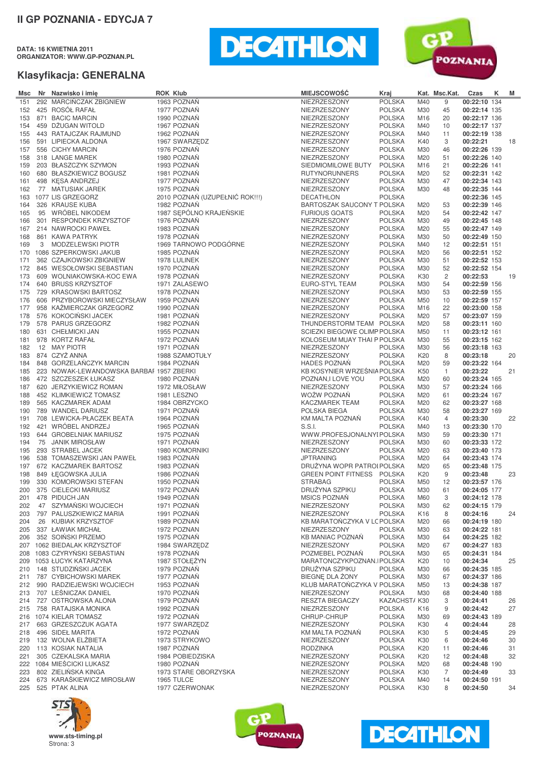**DATA: 16 KWIETNIA 2011 ORGANIZATOR: WWW.GP-POZNAN.PL**





| Msc        | Nr Nazwisko i imie                                                  | <b>ROK Klub</b> |                                               | <b>MIEJSCOWOŚĆ</b>                                 | Kraj                           |            | Kat. Msc.Kat.        | Czas                         | ĸ | M  |
|------------|---------------------------------------------------------------------|-----------------|-----------------------------------------------|----------------------------------------------------|--------------------------------|------------|----------------------|------------------------------|---|----|
| 151        | 292 MARCIŃCZAK ZBIGNIEW                                             |                 | 1963 POZNAŃ                                   | NIEZRZESZONY                                       | <b>POLSKA</b>                  | M40        | 9                    | 00:22:10 134                 |   |    |
| 152        | 425 ROSÓŁ RAFAŁ                                                     |                 | 1977 POZNAŃ                                   | NIEZRZESZONY                                       | <b>POLSKA</b>                  | M30        | 45                   | 00:22:14 135                 |   |    |
| 153        | 871 BACIC MARCIN                                                    |                 | 1990 POZNAŃ                                   | NIEZRZESZONY                                       | <b>POLSKA</b>                  | M16        | 20                   | 00:22:17 136                 |   |    |
| 154<br>155 | 459 DŻUGAN WITOLD<br>443 RATAJCZAK RAJMUND                          |                 | 1967 POZNAŃ<br>1962 POZNAŃ                    | NIEZRZESZONY<br>NIEZRZESZONY                       | <b>POLSKA</b><br><b>POLSKA</b> | M40<br>M40 | 10<br>11             | 00:22:17 137<br>00:22:19 138 |   |    |
| 156        | 591 LIPIECKA ALDONA                                                 |                 | 1967 SWARZEDZ                                 | NIEZRZESZONY                                       | <b>POLSKA</b>                  | K40        | 3                    | 00:22:21                     |   | 18 |
| 157        | 556 CICHY MARCIN                                                    |                 | 1976 POZNAŃ                                   | NIEZRZESZONY                                       | <b>POLSKA</b>                  | M30        | 46                   | 00:22:26 139                 |   |    |
| 158        | 318 LANGE MAREK                                                     |                 | 1980 POZNAŃ                                   | NIEZRZESZONY                                       | <b>POLSKA</b>                  | M20        | 51                   | 00:22:26 140                 |   |    |
| 159        | 203 BŁASZCZYK SZYMON                                                |                 | 1993 POZNAŃ                                   | SIEDMIOMILOWE BUTY                                 | <b>POLSKA</b>                  | M16        | 21                   | 00:22:26 141                 |   |    |
| 160        | 680 BŁASZKIEWICZ BOGUSZ                                             |                 | 1981 POZNAŃ                                   | <b>RUTYNORUNNERS</b>                               | <b>POLSKA</b>                  | M20        | 52                   | 00:22:31 142                 |   |    |
| 161        | 498 KESA ANDRZEJ                                                    |                 | 1977 POZNAŃ                                   | NIEZRZESZONY                                       | <b>POLSKA</b>                  | M30        | 47                   | 00:22:34 143                 |   |    |
| 162        | 77 MATUSIAK JAREK                                                   |                 | 1975 POZNAŃ                                   | NIEZRZESZONY                                       | <b>POLSKA</b>                  | M30        | 48                   | 00:22:35 144                 |   |    |
| 163        | 1077 LIS GRZEGORZ                                                   |                 | 2010 POZNAŃ (UZUPEŁNIĆ ROK!!!)<br>1982 POZNAŃ | <b>DECATHLON</b><br>BARTOSZAK SAUCONY T POLSKA     | <b>POLSKA</b>                  |            |                      | 00:22:36 145                 |   |    |
| 164<br>165 | 326 KRAUSE KUBA<br>95 WRÓBEL NIKODEM                                |                 | 1987 SEPÓLNO KRAJEŃSKIE                       | <b>FURIOUS GOATS</b>                               | <b>POLSKA</b>                  | M20<br>M20 | 53<br>54             | 00:22:39 146<br>00:22:42 147 |   |    |
| 166        | 301 RESPONDEK KRZYSZTOF                                             |                 | 1976 POZNAŃ                                   | NIEZRZESZONY                                       | <b>POLSKA</b>                  | M30        | 49                   | 00:22:45 148                 |   |    |
| 167        | 214 NAWROCKI PAWEŁ                                                  |                 | 1983 POZNAŃ                                   | NIEZRZESZONY                                       | <b>POLSKA</b>                  | M20        | 55                   | 00:22:47 149                 |   |    |
| 168        | 861 KAWA PATRYK                                                     |                 | 1978 POZNAŃ                                   | NIEZRZESZONY                                       | <b>POLSKA</b>                  | M30        | 50                   | 00:22:49 150                 |   |    |
| 169        | 3 MODZELEWSKI PIOTR                                                 |                 | 1969 TARNOWO PODGÓRNE                         | NIEZRZESZONY                                       | <b>POLSKA</b>                  | M40        | 12                   | 00:22:51 151                 |   |    |
| 170        | 1086 SZPERKOWSKI JAKUB                                              |                 | 1985 POZNAŃ                                   | NIEZRZESZONY                                       | <b>POLSKA</b>                  | M20        | 56                   | 00:22:51 152                 |   |    |
| 171        | 362 CZAJKOWSKI ZBIGNIEW                                             |                 | 1978 LULINEK                                  | NIEZRZESZONY                                       | <b>POLSKA</b>                  | M30        | 51                   | 00:22:52 153                 |   |    |
| 172        | 845 WESOŁOWSKI SEBASTIAN                                            |                 | 1970 POZNAŃ                                   | NIEZRZESZONY                                       | <b>POLSKA</b>                  | M30        | 52                   | 00:22:52 154                 |   |    |
| 173<br>174 | 609 WOLNIAKOWSKA-KOC EWA<br>640 BRUSS KRZYSZTOF                     |                 | 1978 POZNAŃ<br>1971 ZALASEWO                  | NIEZRZESZONY<br>EURO-STYL TEAM                     | <b>POLSKA</b><br><b>POLSKA</b> | K30<br>M30 | $\overline{c}$<br>54 | 00:22:53<br>00:22:59 156     |   | 19 |
| 175        | 729 KRASOWSKI BARTOSZ                                               |                 | 1978 POZNAN                                   | NIEZRZESZONY                                       | <b>POLSKA</b>                  | M30        | 53                   | 00:22:59 155                 |   |    |
| 176        | 606 PRZYBOROWSKI MIECZYSŁAW                                         |                 | 1959 POZNAŃ                                   | NIEZRZESZONY                                       | <b>POLSKA</b>                  | M50        | 10                   | 00:22:59 157                 |   |    |
| 177        | 958 KAŹMIERCZAK GRZEGORZ                                            |                 | 1990 POZNAŃ                                   | NIEZRZESZONY                                       | <b>POLSKA</b>                  | M16        | 22                   | 00:23:00 158                 |   |    |
| 178        | 576 KOKOCIŃSKI JACEK                                                |                 | 1981 POZNAŃ                                   | NIEZRZESZONY                                       | <b>POLSKA</b>                  | M20        | 57                   | 00:23:07 159                 |   |    |
| 179        | 578 PARUS GRZEGORZ                                                  |                 | 1982 POZNAŃ                                   | THUNDERSTORM TEAM POLSKA                           |                                | M20        | 58                   | 00:23:11 160                 |   |    |
| 180        | 631 CHEŁMICKI JAN                                                   |                 | 1955 POZNAN                                   | SCIEZKI BIEGOWE OLIMP POLSKA                       |                                | M50        | 11                   | 00:23:12 161                 |   |    |
| 181        | 978 KORTZ RAFAŁ                                                     |                 | 1972 POZNAŃ                                   | KOLOSEUM MUAY THAI P POLSKA                        |                                | M30        | 55                   | 00:23:15 162                 |   |    |
| 182        | 12 MAY PIOTR                                                        |                 | 1971 POZNAŃ                                   | NIEZRZESZONY                                       | <b>POLSKA</b>                  | M30        | 56                   | 00:23:18 163                 |   |    |
| 183        | 874 CZYŻ ANNA                                                       |                 | 1988 SZAMOTUŁY                                | NIEZRZESZONY                                       | <b>POLSKA</b>                  | K20        | 8                    | 00:23:18                     |   | 20 |
| 184<br>185 | 848 GORZELAŃCZYK MARCIN<br>223 NOWAK-LEWANDOWSKA BARBAF 1957 ZBERKI |                 | 1984 POZNAŃ                                   | <b>HADES POZNAŃ</b><br>KB KOSYNIER WRZEŚNIA POLSKA | <b>POLSKA</b>                  | M20<br>K50 | 59<br>$\mathbf{1}$   | 00:23:22 164<br>00:23:22     |   | 21 |
| 186        | 472 SZCZESZEK ŁUKASZ                                                |                 | 1980 POZNAŃ                                   | POZNAN, I LOVE YOU                                 | <b>POLSKA</b>                  | M20        | 60                   | 00:23:24 165                 |   |    |
| 187        | 620 JERZYKIEWICZ ROMAN                                              |                 | 1972 MIŁOSŁAW                                 | NIEZRZESZONY                                       | <b>POLSKA</b>                  | M30        | 57                   | 00:23:24 166                 |   |    |
| 188        | 452 KLIMKIEWICZ TOMASZ                                              |                 | 1981 LESZNO                                   | WOŻW POZNAŃ                                        | <b>POLSKA</b>                  | M20        | 61                   | 00:23:24 167                 |   |    |
| 189        | 565 KACZMAREK ADAM                                                  |                 | 1984 OBRZYCKO                                 | KACZMAREK TEAM                                     | <b>POLSKA</b>                  | M20        | 62                   | 00:23:27 168                 |   |    |
| 190        | 789 WANDEL DARIUSZ                                                  |                 | 1971 POZNAŃ                                   | POLSKA BIEGA                                       | <b>POLSKA</b>                  | M30        | 58                   | 00:23:27 169                 |   |    |
| 191        | 708 LEWICKA-PŁACZEK BEATA                                           |                 | 1964 POZNAŃ                                   | KM MALTA POZNAŃ                                    | <b>POLSKA</b>                  | K40        | 4                    | 00:23:30                     |   | 22 |
| 192        | 421 WRÓBEL ANDRZEJ                                                  |                 | 1965 POZNAŃ                                   | S.S.I.                                             | <b>POLSKA</b>                  | M40        | 13                   | 00:23:30 170                 |   |    |
| 193<br>194 | 644 GROBELNIAK MARIUSZ<br>75 JANIK MIROSŁAW                         |                 | 1975 POZNAN<br>1971 POZNAŃ                    | WWW.PROFESJONALNYI POLSKA<br>NIEZRZESZONY          | <b>POLSKA</b>                  | M30<br>M30 | 59<br>60             | 00:23:30 171<br>00:23:33 172 |   |    |
| 195        | 293 STRABEL JACEK                                                   |                 | 1980 KOMORNIKI                                | NIEZRZESZONY                                       | <b>POLSKA</b>                  | M20        | 63                   | 00:23:40 173                 |   |    |
| 196        | 538 TOMASZEWSKI JAN PAWEŁ                                           |                 | 1983 POZNAŃ                                   | <b>JPTRANING</b>                                   | <b>POLSKA</b>                  | M20        | 64                   | 00:23:43 174                 |   |    |
| 197        | 672 KACZMAREK BARTOSZ                                               |                 | 1983 POZNAŃ                                   | DRUŻYNA WOPR PATROI POLSKA                         |                                | M20        | 65                   | 00:23:48 175                 |   |    |
| 198        | 849 ŁĘGOWSKA JULIA                                                  |                 | 1986 POZNAŃ                                   | <b>GREEN POINT FITNESS</b>                         | <b>POLSKA</b>                  | K20        | 9                    | 00:23:48                     |   | 23 |
| 199        | 330 KOMOROWSKI STEFAN                                               |                 | 1950 POZNAŃ                                   | <b>STRABAG</b>                                     | <b>POLSKA</b>                  | M50        | 12                   | 00:23:57 176                 |   |    |
|            | 200 375 CIELECKI MARIUSZ                                            |                 | 1972 POZNAŃ                                   | DRUŻYNA SZPIKU                                     | <b>POLSKA</b>                  | M30        | 61                   | 00:24:05 177                 |   |    |
| 201        | 478 PIDUCH JAN                                                      |                 | 1949 POZNAŃ                                   | <b>MSICS POZNAŃ</b>                                | <b>POLSKA</b>                  | M60        | 3                    | 00:24:12 178                 |   |    |
| 202<br>203 | 47 SZYMAŃSKI WOJCIECH<br>797 PALUSZKIEWICZ MARIA                    |                 | 1971 POZNAŃ<br>1991 POZNAŃ                    | NIEZRZESZONY<br>NIEZRZESZONY                       | <b>POLSKA</b><br><b>POLSKA</b> | M30<br>K16 | 62<br>8              | 00:24:15 179<br>00:24:16     |   | 24 |
| 204        | 26 KUBIAK KRZYSZTOF                                                 |                 | 1989 POZNAŃ                                   | KB MARATOŃCZYKA V LC POLSKA                        |                                | M20        | 66                   | 00:24:19 180                 |   |    |
| 205        | 337 ŁAWIAK MICHAŁ                                                   |                 | 1972 POZNAN                                   | NIEZRZESZONY                                       | <b>POLSKA</b>                  | M30        | 63                   | 00:24:22 181                 |   |    |
| 206        | 352 SOIŃSKI PRZEMO                                                  |                 | 1975 POZNAŃ                                   | <b>KB MANIAC POZNAN</b>                            | <b>POLSKA</b>                  | M30        | 64                   | 00:24:25 182                 |   |    |
|            | 207 1062 BIEDALAK KRZYSZTOF                                         |                 | 1984 SWARZEDZ                                 | NIEZRZESZONY                                       | <b>POLSKA</b>                  | M20        | 67                   | 00:24:27 183                 |   |    |
| 208        | 1083 CZYRYŃSKI SEBASTIAN                                            |                 | 1978 POZNAŃ                                   | POZMEBEL POZNAŃ                                    | <b>POLSKA</b>                  | M30        | 65                   | 00:24:31 184                 |   |    |
| 209        | 1053 ŁUCYK KATARZYNA                                                |                 | 1987 STOŁĘŻYN                                 | MARATONCZYKPOZNAN.IPOLSKA                          |                                | K20        | 10                   | 00:24:34                     |   | 25 |
| 210        | 148 STUDZIŃSKI JACEK                                                |                 | 1979 POZNAŃ                                   | DRUŻYNA SZPIKU                                     | <b>POLSKA</b>                  | M30        | 66                   | 00:24:35 185                 |   |    |
| 211<br>212 | 787 CYBICHOWSKI MAREK<br>990 RADZIEJEWSKI WOJCIECH                  |                 | 1977 POZNAŃ<br>1953 POZNAŃ                    | BIEGNE DLA ZONY<br>KLUB MARATOŃCZYKA V POLSKA      | <b>POLSKA</b>                  | M30        | 67                   | 00:24:37 186                 |   |    |
| 213        | 707 LEŚNICZAK DANIEL                                                |                 | 1970 POZNAŃ                                   | NIEZRZESZONY                                       | <b>POLSKA</b>                  | M50<br>M30 | 13<br>68             | 00:24:38 187<br>00:24:40 188 |   |    |
| 214        | 727 OSTROWSKA ALONA                                                 |                 | 1979 POZNAŃ                                   | RESZTA BIEGACZY                                    | KAZACHST/K30                   |            | 3                    | 00:24:41                     |   | 26 |
| 215        | 758 RATAJSKA MONIKA                                                 |                 | 1992 POZNAŃ                                   | NIEZRZESZONY                                       | <b>POLSKA</b>                  | K16        | 9                    | 00:24:42                     |   | 27 |
|            | 216 1074 KIELAR TOMASZ                                              |                 | 1972 POZNAŃ                                   | CHRUP-CHRUP                                        | <b>POLSKA</b>                  | M30        | 69                   | 00:24:43 189                 |   |    |
| 217        | 663 GRZESZCZUK AGATA                                                |                 | 1977 SWARZEDZ                                 | NIEZRZESZONY                                       | <b>POLSKA</b>                  | K30        | 4                    | 00:24:44                     |   | 28 |
| 218        | 496 SIDEŁ MARITA                                                    |                 | 1972 POZNAŃ                                   | KM MALTA POZNAN                                    | <b>POLSKA</b>                  | K30        | 5                    | 00:24:45                     |   | 29 |
| 219        | 132 WOLNA ELŻBIETA                                                  |                 | 1973 STRYKOWO                                 | NIEZRZESZONY                                       | <b>POLSKA</b>                  | K30        | 6                    | 00:24:46                     |   | 30 |
| 220        | 113 KOSIAK NATALIA                                                  |                 | 1987 POZNAŃ                                   | <b>RODZINKA</b>                                    | <b>POLSKA</b>                  | K20        | 11                   | 00:24:46                     |   | 31 |
| 221        | 305 CZEKALSKA MARIA<br>222 1084 MIEŚCICKI LUKASZ                    |                 | 1984 POBIEDZISKA<br>1980 POZNAŃ               | NIEZRZESZONY<br>NIEZRZESZONY                       | <b>POLSKA</b><br><b>POLSKA</b> | K20<br>M20 | 12<br>68             | 00:24:48<br>00:24:48 190     |   | 32 |
| 223        | 802 ZIELIŃSKA KINGA                                                 |                 | 1973 STARE OBORZYSKA                          | NIEZRZESZONY                                       | <b>POLSKA</b>                  | K30        | 7                    | 00:24:49                     |   | 33 |
| 224        | 673 KARAŚKIEWICZ MIROSŁAW                                           |                 | 1965 TULCE                                    | NIEZRZESZONY                                       | <b>POLSKA</b>                  | M40        | 14                   | 00:24:50 191                 |   |    |
| 225        | 525 PTAK ALINA                                                      |                 | 1977 CZERWONAK                                | NIEZRZESZONY                                       | <b>POLSKA</b>                  | K30        | 8                    | 00:24:50                     |   | 34 |





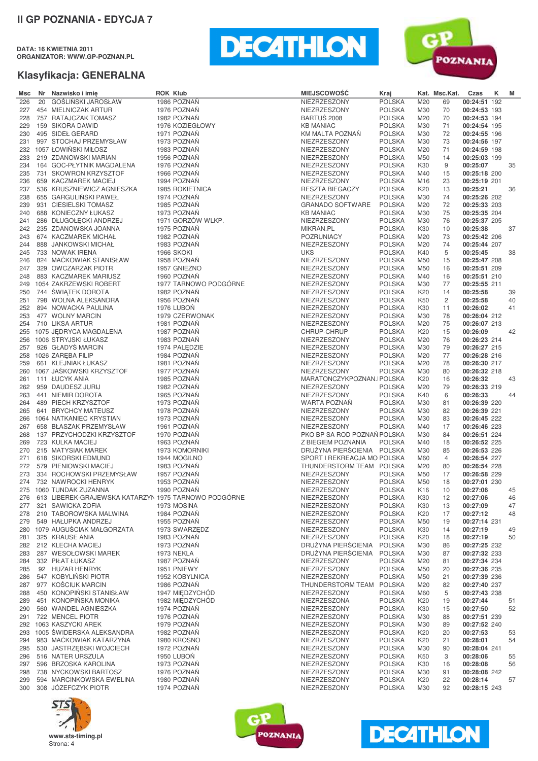**DATA: 16 KWIETNIA 2011 ORGANIZATOR: WWW.GP-POZNAN.PL**





| GOŚLIŃSKI JAROSŁAW<br>1986 POZNAŃ<br>NIEZRZESZONY<br><b>POLSKA</b><br>00:24:51 192<br>226<br>20<br>M20<br>69<br>1976 POZNAŃ<br><b>POLSKA</b><br>227<br>454 MIELNICZAK ARTUR<br>NIEZRZESZONY<br>M30<br>70<br>00:24:53 193<br>757 RATAJCZAK TOMASZ<br>1982 POZNAŃ<br>BARTUŚ 2008<br><b>POLSKA</b><br>228<br>M20<br>70<br>00:24:53 194<br>1976 KOZIEGŁOWY<br><b>KB MANIAC</b><br><b>POLSKA</b><br>00:24:54 195<br>229<br>159 SIKORA DAWID<br>M30<br>71<br>495 SIDEŁ GERARD<br>1971 POZNAŃ<br>KM MALTA POZNAŃ<br><b>POLSKA</b><br>72<br>00:24:55 196<br>230<br>M30<br>1973 POZNAŃ<br>231<br>997 STOCHAJ PRZEMYSŁAW<br>NIEZRZESZONY<br><b>POLSKA</b><br>M30<br>73<br>00:24:56 197<br>232<br>1057 ŁOWINSKI MIŁOSZ<br>1983 POZNAN<br>NIEZRZESZONY<br><b>POLSKA</b><br>M20<br>71<br>00:24:59 198<br>233<br>219 ZDANOWSKI MARIAN<br>1956 POZNAN<br>NIEZRZESZONY<br><b>POLSKA</b><br>M50<br>14<br>00:25:03 199<br>164 GOC-PŁYTNIK MAGDALENA<br>1976 POZNAN<br>NIEZRZESZONY<br><b>POLSKA</b><br>K30<br>9<br>00:25:07<br>35<br>234<br>235<br>731 SKOWRON KRZYSZTOF<br>1966 POZNAN<br>NIEZRZESZONY<br><b>POLSKA</b><br>M40<br>15<br>00:25:18 200<br>659 KACZMAREK MACIEJ<br>1994 POZNAŃ<br>236<br>NIEZRZESZONY<br><b>POLSKA</b><br>M16<br>23<br>00:25:19 201<br>237<br>536 KRUSZNIEWICZ AGNIESZKA<br>1985 ROKIETNICA<br>RESZTA BIEGACZY<br><b>POLSKA</b><br>K20<br>13<br>00:25:21<br>36<br>655 GARGULIŃSKI PAWEŁ<br>1974 POZNAŃ<br><b>POLSKA</b><br>238<br>NIEZRZESZONY<br>M30<br>74<br>00:25:26 202<br>931 CIESIELSKI TOMASZ<br>239<br>1985 POZNAN<br><b>GRANADO SOFTWARE</b><br><b>POLSKA</b><br>M20<br>72<br>00:25:33 203<br>688 KONIECZNY ŁUKASZ<br>1973 POZNAŃ<br>240<br><b>KB MANIAC</b><br><b>POLSKA</b><br>75<br>00:25:35 204<br>M30<br>286 DŁUGOŁĘCKI ANDRZEJ<br>1971 GORZÓW WLKP.<br>NIEZRZESZONY<br><b>POLSKA</b><br>M30<br>76<br>00:25:37 205<br>241<br>1975 POZNAŃ<br>00:25:38<br>242<br>235 ZDANOWSKA JOANNA<br><b>MIKRAN.PL</b><br><b>POLSKA</b><br>K30<br>10<br>37<br>1982 POZNAŃ<br>243<br>674 KACZMAREK MICHAŁ<br>POZRUNIACY<br><b>POLSKA</b><br>M20<br>73<br>00:25:42 206<br>888 JANKOWSKI MICHAŁ<br>1983 POZNAŃ<br>244<br>NIEZRZESZONY<br><b>POLSKA</b><br>M20<br>74<br>00:25:44 207<br>245<br>733 NOWAK IRENA<br><b>1966 SKOKI</b><br><b>UKS</b><br><b>POLSKA</b><br>K40<br>5<br>00:25:45<br>38<br>824 MAĆKOWIAK STANISŁAW<br>1958 POZNAŃ<br>246<br>NIEZRZESZONY<br><b>POLSKA</b><br>M50<br>15<br>00:25:47 208<br>329 OWCZARZAK PIOTR<br>1957 GNIEZNO<br>NIEZRZESZONY<br><b>POLSKA</b><br>00:25:51 209<br>247<br>M50<br>16<br>1960 POZNAŃ<br>248<br>883 KACZMAREK MARIUSZ<br>NIEZRZESZONY<br><b>POLSKA</b><br>M40<br>16<br>00:25:51 210<br>1977 TARNOWO PODGÓRNE<br>1054 ZAKRZEWSKI ROBERT<br>77<br>NIEZRZESZONY<br><b>POLSKA</b><br>M30<br>00:25:55 211<br>249<br>744 ŚWIĄTEK DOROTA<br>1982 POZNAŃ<br>250<br>NIEZRZESZONY<br><b>POLSKA</b><br>K20<br>00:25:58<br>14<br>39<br>251<br>798 WOLNA ALEKSANDRA<br>1956 POZNAN<br>NIEZRZESZONY<br><b>POLSKA</b><br>K50<br>2<br>00:25:58<br>40<br>00:26:02<br>252<br>894 NOWACKA PAULINA<br>1976 LUBON<br>NIEZRZESZONY<br><b>POLSKA</b><br>K30<br>41<br>11<br>1979 CZERWONAK<br>253<br>477 WOLNY MARCIN<br>NIEZRZESZONY<br><b>POLSKA</b><br>M30<br>78<br>00:26:04 212<br>710 LIKSA ARTUR<br>1981 POZNAŃ<br>254<br>NIEZRZESZONY<br><b>POLSKA</b><br>M20<br>75<br>00:26:07 213<br>1075 JEDRYCA MAGDALENA<br>1987 POZNAŃ<br><b>POLSKA</b><br>00:26:09<br>255<br>CHRUP-CHRUP<br>K20<br>15<br>42<br>1983 POZNAŃ<br>00:26:23 214<br>256<br>1006 STRYJSKI ŁUKASZ<br>NIEZRZESZONY<br><b>POLSKA</b><br>M20<br>76<br>926 GŁADYŚ MARCIN<br>1974 PALEDZIE<br>00:26:27 215<br>257<br>NIEZRZESZONY<br><b>POLSKA</b><br>M30<br>79<br>258<br>1026 ZAREBA FILIP<br>1984 POZNAN<br>NIEZRZESZONY<br><b>POLSKA</b><br>M20<br>77<br>00:26:28 216<br>1981 POZNAŃ<br>661 KLEJNIAK ŁUKASZ<br>NIEZRZESZONY<br><b>POLSKA</b><br>M20<br>78<br>00:26:30 217<br>259<br>1067 JAŚKOWSKI KRZYSZTOF<br>1977 POZNAŃ<br>NIEZRZESZONY<br><b>POLSKA</b><br>M30<br>80<br>00:26:32 218<br>260<br>1985 POZNAŃ<br>111 ŁUCYK ANIA<br>MARATONCZYKPOZNAN.IPOLSKA<br>K <sub>20</sub><br>16<br>00:26:32<br>43<br>261<br>1982 POZNAŃ<br>262<br>959 DAUDESZ JURIJ<br>NIEZRZESZONY<br><b>POLSKA</b><br>M20<br>79<br>00:26:33 219<br>1965 POZNAŃ<br>NIEZRZESZONY<br>00:26:33<br>263<br>441 NIEMIR DOROTA<br><b>POLSKA</b><br>K40<br>44<br>6<br>264<br>489 PIECH KRZYSZTOF<br>1973 POZNAN<br>WARTA POZNAŃ<br><b>POLSKA</b><br>M30<br>00:26:39 220<br>81<br>641 BRYCHCY MATEUSZ<br>1978 POZNAŃ<br>NIEZRZESZONY<br><b>POLSKA</b><br>M30<br>82<br>00:26:39 221<br>265<br>1973 POZNAŃ<br>1064 NATKANIEC KRYSTIAN<br>NIEZRZESZONY<br><b>POLSKA</b><br>M30<br>00:26:45 222<br>266<br>83<br>1961 POZNAŃ<br>NIEZRZESZONY<br>00:26:46 223<br>267<br>658 BŁASZAK PRZEMYSŁAW<br><b>POLSKA</b><br>M40<br>17<br>137 PRZYCHODZKI KRZYSZTOF<br>1970 POZNAŃ<br>PKO BP SA ROD POZNAŃ POLSKA<br>M30<br>84<br>00:26:51 224<br>268<br>723 KULKA MACIEJ<br>1963 POZNAŃ<br>Z BIEGIEM POZNANIA<br><b>POLSKA</b><br>M40<br>18<br>00:26:52 225<br>269<br>DRUŻYNA PIERŚCIENIA POLSKA<br>215 MATYSIAK MAREK<br>1973 KOMORNIKI<br>M30<br>85<br>00:26:53 226<br>270<br>618 SIKORSKI EDMUND<br>1944 MOGILNO<br>SPORT I REKREACJA MO POLSKA<br>$\overline{4}$<br>00:26:54 227<br>271<br>M60<br>272<br>579 PIENIOWSKI MACIEJ<br>1983 POZNAN<br>THUNDERSTORM TEAM POLSKA<br>M20<br>00:26:54 228<br>80<br>1957 POZNAŃ<br>273<br>334 ROCHOWSKI PRZEMYSŁAW<br>NIEZRZESZONY<br><b>POLSKA</b><br>M50<br>17<br>00:26:58 229<br>732 NAWROCKI HENRYK<br>1953 POZNAŃ<br>NIEZRZESZONY<br>18<br>00:27:01 230<br>274<br><b>POLSKA</b><br>M50<br>1990 POZNAŃ<br>00:27:06<br>275 1060 TUNDAK ZUZANNA<br><b>NIEZRZESZONY</b><br><b>POLSKA</b><br>K16<br>10<br>45<br>613 LIBEREK-GRAJEWSKA KATARZYN 1975 TARNOWO PODGÓRNE<br>NIEZRZESZONY<br><b>POLSKA</b><br>K30<br>00:27:06<br>276<br>12<br>46<br>321 SAWICKA ZOFIA<br>NIEZRZESZONY<br><b>POLSKA</b><br>00:27:09<br>1973 MOSINA<br>K30<br>277<br>13<br>47<br>210 TABOROWSKA MALWINA<br>1984 POZNAŃ<br>NIEZRZESZONY<br><b>POLSKA</b><br>00:27:12<br>278<br>K20<br>17<br>48<br>1955 POZNAŃ<br><b>POLSKA</b><br>00:27:14 231<br>549 HAŁUPKA ANDRZEJ<br>NIEZRZESZONY<br>M50<br>279<br>19<br>1079 AUGUŚCIAK MAŁGORZATA<br>1973 SWARZEDZ<br>NIEZRZESZONY<br><b>POLSKA</b><br>00:27:19<br>K30<br>280<br>14<br>49<br>325 KRAUSE ANIA<br>1983 POZNAŃ<br>NIEZRZESZONY<br><b>POLSKA</b><br>00:27:19<br>K20<br>50<br>281<br>18<br>DRUŻYNA PIERŚCIENIA<br>212 KLECHA MACIEJ<br>1973 POZNAN<br><b>POLSKA</b><br>00:27:25 232<br>282<br>M30<br>86<br>DRUŻYNA PIERŚCIENIA<br>287 WESOŁOWSKI MAREK<br>1973 NEKLA<br><b>POLSKA</b><br>M30<br>00:27:32 233<br>283<br>87<br>332 PIŁAT ŁUKASZ<br>1987 POZNAŃ<br>NIEZRZESZONY<br><b>POLSKA</b><br>00:27:34 234<br>284<br>M20<br>81<br>92 HUZAR HENRYK<br>1951 PNIEWY<br>NIEZRZESZONY<br><b>POLSKA</b><br>M50<br>00:27:36 235<br>285<br>20<br>547 KOBYLIŃSKI PIOTR<br><b>POLSKA</b><br>00:27:39 236<br>1952 KOBYLNICA<br>NIEZRZESZONY<br>M50<br>21<br>286<br>977 KOŚCIUK MARCIN<br>1986 POZNAŃ<br>THUNDERSTORM TEAM<br><b>POLSKA</b><br>M20<br>00:27:40 237<br>287<br>82<br>450 KONOPIŃSKI STANISŁAW<br>1947 MIEDZYCHÓD<br><b>POLSKA</b><br>00:27:43 238<br>NIEZRZESZONY<br>M60<br>288<br>5<br>451 KONOPIŃSKA MONIKA<br>1982 MIEDZYCHÓD<br>00:27:44<br>NIEZRZESZONA<br><b>POLSKA</b><br>K20<br>289<br>19<br>51<br>1974 POZNAŃ<br>00:27:50<br>560 WANDEL AGNIESZKA<br>NIEZRZESZONY<br><b>POLSKA</b><br>52<br>290<br>K30<br>15<br>722 MENCEL PIOTR<br>1976 POZNAŃ<br>00:27:51 239<br>NIEZRZESZONY<br><b>POLSKA</b><br>M30<br>291<br>88<br>1063 KASZYCKI AREK<br>1979 POZNAŃ<br><b>POLSKA</b><br>00:27:52 240<br>292<br>NIEZRZESZONY<br>M30<br>89<br>1005 ŚWIDERSKA ALEKSANDRA<br>1982 POZNAŃ<br>NIEZRZESZONY<br><b>POLSKA</b><br>00:27:53<br>293<br>K20<br>20<br>53<br>983 MAĆKOWIAK KATARZYNA<br>00:28:01<br>1980 KROSNO<br>NIEZRZESZONY<br><b>POLSKA</b><br>K20<br>294<br>21<br>54<br>530 JASTRZĘBSKI WOJCIECH<br>1972 POZNAŃ<br>NIEZRZESZONY<br><b>POLSKA</b><br>M30<br>00:28:04 241<br>295<br>90<br>516 NATER URSZULA<br>1950 LUBON<br>NIEZRZESZONY<br><b>POLSKA</b><br>K50<br>00:28:06<br>296<br>3<br>55<br>1973 POZNAŃ<br>596 BRZOSKA KAROLINA<br>NIEZRZESZONY<br><b>POLSKA</b><br>00:28:08<br>297<br>K30<br>16<br>56<br>1976 POZNAŃ<br>738 NYCKOWSKI BARTOSZ<br>NIEZRZESZONY<br><b>POLSKA</b><br>M30<br>91<br>00:28:08 242<br>298<br>594 MARCINKOWSKA EWELINA<br>1980 POZNAŃ<br><b>POLSKA</b><br>00:28:14<br>NIEZRZESZONY<br>K20<br>22<br>299<br>57<br>308 JÓZEFCZYK PIOTR<br>1974 POZNAŃ<br>00:28:15 243<br>300<br>NIEZRZESZONY<br><b>POLSKA</b><br>M30<br>92 | Msc | Nr Nazwisko i imię | <b>ROK Klub</b> | <b>MIEJSCOWOŚĆ</b> | Kraj | Kat. Msc.Kat. | Czas | K | M |
|----------------------------------------------------------------------------------------------------------------------------------------------------------------------------------------------------------------------------------------------------------------------------------------------------------------------------------------------------------------------------------------------------------------------------------------------------------------------------------------------------------------------------------------------------------------------------------------------------------------------------------------------------------------------------------------------------------------------------------------------------------------------------------------------------------------------------------------------------------------------------------------------------------------------------------------------------------------------------------------------------------------------------------------------------------------------------------------------------------------------------------------------------------------------------------------------------------------------------------------------------------------------------------------------------------------------------------------------------------------------------------------------------------------------------------------------------------------------------------------------------------------------------------------------------------------------------------------------------------------------------------------------------------------------------------------------------------------------------------------------------------------------------------------------------------------------------------------------------------------------------------------------------------------------------------------------------------------------------------------------------------------------------------------------------------------------------------------------------------------------------------------------------------------------------------------------------------------------------------------------------------------------------------------------------------------------------------------------------------------------------------------------------------------------------------------------------------------------------------------------------------------------------------------------------------------------------------------------------------------------------------------------------------------------------------------------------------------------------------------------------------------------------------------------------------------------------------------------------------------------------------------------------------------------------------------------------------------------------------------------------------------------------------------------------------------------------------------------------------------------------------------------------------------------------------------------------------------------------------------------------------------------------------------------------------------------------------------------------------------------------------------------------------------------------------------------------------------------------------------------------------------------------------------------------------------------------------------------------------------------------------------------------------------------------------------------------------------------------------------------------------------------------------------------------------------------------------------------------------------------------------------------------------------------------------------------------------------------------------------------------------------------------------------------------------------------------------------------------------------------------------------------------------------------------------------------------------------------------------------------------------------------------------------------------------------------------------------------------------------------------------------------------------------------------------------------------------------------------------------------------------------------------------------------------------------------------------------------------------------------------------------------------------------------------------------------------------------------------------------------------------------------------------------------------------------------------------------------------------------------------------------------------------------------------------------------------------------------------------------------------------------------------------------------------------------------------------------------------------------------------------------------------------------------------------------------------------------------------------------------------------------------------------------------------------------------------------------------------------------------------------------------------------------------------------------------------------------------------------------------------------------------------------------------------------------------------------------------------------------------------------------------------------------------------------------------------------------------------------------------------------------------------------------------------------------------------------------------------------------------------------------------------------------------------------------------------------------------------------------------------------------------------------------------------------------------------------------------------------------------------------------------------------------------------------------------------------------------------------------------------------------------------------------------------------------------------------------------------------------------------------------------------------------------------------------------------------------------------------------------------------------------------------------------------------------------------------------------------------------------------------------------------------------------------------------------------------------------------------------------------------------------------------------------------------------------------------------------------------------------------------------------------------------------------------------------------------------------------------------------------------------------------------------------------------------------------------------------------------------------------------------------------------------------------------------------------------------------------------------------------------------------------------------------------------------------------------------------------------------------------------------------------------------------------------------------------------------------------------------------------------------------------------------------------------------------------------------------------------------------------------------------------------------------------------------------------------------------------------------------------------------------------------------------------------------------------------------------------------------------------------------------------------------------------------------------------------------------------------------------------------------------------------------------------------------------------------------------------------------------------------------------------------------------------------------------------------------------------------------------------------------------------------------------------------------------------------------------------------------------------------------------------------------------------------------------------------------------------------------------------------------------------------------------------------------------------------------------|-----|--------------------|-----------------|--------------------|------|---------------|------|---|---|
|                                                                                                                                                                                                                                                                                                                                                                                                                                                                                                                                                                                                                                                                                                                                                                                                                                                                                                                                                                                                                                                                                                                                                                                                                                                                                                                                                                                                                                                                                                                                                                                                                                                                                                                                                                                                                                                                                                                                                                                                                                                                                                                                                                                                                                                                                                                                                                                                                                                                                                                                                                                                                                                                                                                                                                                                                                                                                                                                                                                                                                                                                                                                                                                                                                                                                                                                                                                                                                                                                                                                                                                                                                                                                                                                                                                                                                                                                                                                                                                                                                                                                                                                                                                                                                                                                                                                                                                                                                                                                                                                                                                                                                                                                                                                                                                                                                                                                                                                                                                                                                                                                                                                                                                                                                                                                                                                                                                                                                                                                                                                                                                                                                                                                                                                                                                                                                                                                                                                                                                                                                                                                                                                                                                                                                                                                                                                                                                                                                                                                                                                                                                                                                                                                                                                                                                                                                                                                                                                                                                                                                                                                                                                                                                                                                                                                                                                                                                                                                                                                                                                                                                                                                                                                                                                                                                                                                                                                                                                                                                                                                                                                                                                                                                                                                                                                                                                                                                                                                                                                                                                                                                              |     |                    |                 |                    |      |               |      |   |   |
|                                                                                                                                                                                                                                                                                                                                                                                                                                                                                                                                                                                                                                                                                                                                                                                                                                                                                                                                                                                                                                                                                                                                                                                                                                                                                                                                                                                                                                                                                                                                                                                                                                                                                                                                                                                                                                                                                                                                                                                                                                                                                                                                                                                                                                                                                                                                                                                                                                                                                                                                                                                                                                                                                                                                                                                                                                                                                                                                                                                                                                                                                                                                                                                                                                                                                                                                                                                                                                                                                                                                                                                                                                                                                                                                                                                                                                                                                                                                                                                                                                                                                                                                                                                                                                                                                                                                                                                                                                                                                                                                                                                                                                                                                                                                                                                                                                                                                                                                                                                                                                                                                                                                                                                                                                                                                                                                                                                                                                                                                                                                                                                                                                                                                                                                                                                                                                                                                                                                                                                                                                                                                                                                                                                                                                                                                                                                                                                                                                                                                                                                                                                                                                                                                                                                                                                                                                                                                                                                                                                                                                                                                                                                                                                                                                                                                                                                                                                                                                                                                                                                                                                                                                                                                                                                                                                                                                                                                                                                                                                                                                                                                                                                                                                                                                                                                                                                                                                                                                                                                                                                                                                              |     |                    |                 |                    |      |               |      |   |   |
|                                                                                                                                                                                                                                                                                                                                                                                                                                                                                                                                                                                                                                                                                                                                                                                                                                                                                                                                                                                                                                                                                                                                                                                                                                                                                                                                                                                                                                                                                                                                                                                                                                                                                                                                                                                                                                                                                                                                                                                                                                                                                                                                                                                                                                                                                                                                                                                                                                                                                                                                                                                                                                                                                                                                                                                                                                                                                                                                                                                                                                                                                                                                                                                                                                                                                                                                                                                                                                                                                                                                                                                                                                                                                                                                                                                                                                                                                                                                                                                                                                                                                                                                                                                                                                                                                                                                                                                                                                                                                                                                                                                                                                                                                                                                                                                                                                                                                                                                                                                                                                                                                                                                                                                                                                                                                                                                                                                                                                                                                                                                                                                                                                                                                                                                                                                                                                                                                                                                                                                                                                                                                                                                                                                                                                                                                                                                                                                                                                                                                                                                                                                                                                                                                                                                                                                                                                                                                                                                                                                                                                                                                                                                                                                                                                                                                                                                                                                                                                                                                                                                                                                                                                                                                                                                                                                                                                                                                                                                                                                                                                                                                                                                                                                                                                                                                                                                                                                                                                                                                                                                                                                              |     |                    |                 |                    |      |               |      |   |   |
|                                                                                                                                                                                                                                                                                                                                                                                                                                                                                                                                                                                                                                                                                                                                                                                                                                                                                                                                                                                                                                                                                                                                                                                                                                                                                                                                                                                                                                                                                                                                                                                                                                                                                                                                                                                                                                                                                                                                                                                                                                                                                                                                                                                                                                                                                                                                                                                                                                                                                                                                                                                                                                                                                                                                                                                                                                                                                                                                                                                                                                                                                                                                                                                                                                                                                                                                                                                                                                                                                                                                                                                                                                                                                                                                                                                                                                                                                                                                                                                                                                                                                                                                                                                                                                                                                                                                                                                                                                                                                                                                                                                                                                                                                                                                                                                                                                                                                                                                                                                                                                                                                                                                                                                                                                                                                                                                                                                                                                                                                                                                                                                                                                                                                                                                                                                                                                                                                                                                                                                                                                                                                                                                                                                                                                                                                                                                                                                                                                                                                                                                                                                                                                                                                                                                                                                                                                                                                                                                                                                                                                                                                                                                                                                                                                                                                                                                                                                                                                                                                                                                                                                                                                                                                                                                                                                                                                                                                                                                                                                                                                                                                                                                                                                                                                                                                                                                                                                                                                                                                                                                                                                              |     |                    |                 |                    |      |               |      |   |   |
|                                                                                                                                                                                                                                                                                                                                                                                                                                                                                                                                                                                                                                                                                                                                                                                                                                                                                                                                                                                                                                                                                                                                                                                                                                                                                                                                                                                                                                                                                                                                                                                                                                                                                                                                                                                                                                                                                                                                                                                                                                                                                                                                                                                                                                                                                                                                                                                                                                                                                                                                                                                                                                                                                                                                                                                                                                                                                                                                                                                                                                                                                                                                                                                                                                                                                                                                                                                                                                                                                                                                                                                                                                                                                                                                                                                                                                                                                                                                                                                                                                                                                                                                                                                                                                                                                                                                                                                                                                                                                                                                                                                                                                                                                                                                                                                                                                                                                                                                                                                                                                                                                                                                                                                                                                                                                                                                                                                                                                                                                                                                                                                                                                                                                                                                                                                                                                                                                                                                                                                                                                                                                                                                                                                                                                                                                                                                                                                                                                                                                                                                                                                                                                                                                                                                                                                                                                                                                                                                                                                                                                                                                                                                                                                                                                                                                                                                                                                                                                                                                                                                                                                                                                                                                                                                                                                                                                                                                                                                                                                                                                                                                                                                                                                                                                                                                                                                                                                                                                                                                                                                                                                              |     |                    |                 |                    |      |               |      |   |   |
|                                                                                                                                                                                                                                                                                                                                                                                                                                                                                                                                                                                                                                                                                                                                                                                                                                                                                                                                                                                                                                                                                                                                                                                                                                                                                                                                                                                                                                                                                                                                                                                                                                                                                                                                                                                                                                                                                                                                                                                                                                                                                                                                                                                                                                                                                                                                                                                                                                                                                                                                                                                                                                                                                                                                                                                                                                                                                                                                                                                                                                                                                                                                                                                                                                                                                                                                                                                                                                                                                                                                                                                                                                                                                                                                                                                                                                                                                                                                                                                                                                                                                                                                                                                                                                                                                                                                                                                                                                                                                                                                                                                                                                                                                                                                                                                                                                                                                                                                                                                                                                                                                                                                                                                                                                                                                                                                                                                                                                                                                                                                                                                                                                                                                                                                                                                                                                                                                                                                                                                                                                                                                                                                                                                                                                                                                                                                                                                                                                                                                                                                                                                                                                                                                                                                                                                                                                                                                                                                                                                                                                                                                                                                                                                                                                                                                                                                                                                                                                                                                                                                                                                                                                                                                                                                                                                                                                                                                                                                                                                                                                                                                                                                                                                                                                                                                                                                                                                                                                                                                                                                                                                              |     |                    |                 |                    |      |               |      |   |   |
|                                                                                                                                                                                                                                                                                                                                                                                                                                                                                                                                                                                                                                                                                                                                                                                                                                                                                                                                                                                                                                                                                                                                                                                                                                                                                                                                                                                                                                                                                                                                                                                                                                                                                                                                                                                                                                                                                                                                                                                                                                                                                                                                                                                                                                                                                                                                                                                                                                                                                                                                                                                                                                                                                                                                                                                                                                                                                                                                                                                                                                                                                                                                                                                                                                                                                                                                                                                                                                                                                                                                                                                                                                                                                                                                                                                                                                                                                                                                                                                                                                                                                                                                                                                                                                                                                                                                                                                                                                                                                                                                                                                                                                                                                                                                                                                                                                                                                                                                                                                                                                                                                                                                                                                                                                                                                                                                                                                                                                                                                                                                                                                                                                                                                                                                                                                                                                                                                                                                                                                                                                                                                                                                                                                                                                                                                                                                                                                                                                                                                                                                                                                                                                                                                                                                                                                                                                                                                                                                                                                                                                                                                                                                                                                                                                                                                                                                                                                                                                                                                                                                                                                                                                                                                                                                                                                                                                                                                                                                                                                                                                                                                                                                                                                                                                                                                                                                                                                                                                                                                                                                                                                              |     |                    |                 |                    |      |               |      |   |   |
|                                                                                                                                                                                                                                                                                                                                                                                                                                                                                                                                                                                                                                                                                                                                                                                                                                                                                                                                                                                                                                                                                                                                                                                                                                                                                                                                                                                                                                                                                                                                                                                                                                                                                                                                                                                                                                                                                                                                                                                                                                                                                                                                                                                                                                                                                                                                                                                                                                                                                                                                                                                                                                                                                                                                                                                                                                                                                                                                                                                                                                                                                                                                                                                                                                                                                                                                                                                                                                                                                                                                                                                                                                                                                                                                                                                                                                                                                                                                                                                                                                                                                                                                                                                                                                                                                                                                                                                                                                                                                                                                                                                                                                                                                                                                                                                                                                                                                                                                                                                                                                                                                                                                                                                                                                                                                                                                                                                                                                                                                                                                                                                                                                                                                                                                                                                                                                                                                                                                                                                                                                                                                                                                                                                                                                                                                                                                                                                                                                                                                                                                                                                                                                                                                                                                                                                                                                                                                                                                                                                                                                                                                                                                                                                                                                                                                                                                                                                                                                                                                                                                                                                                                                                                                                                                                                                                                                                                                                                                                                                                                                                                                                                                                                                                                                                                                                                                                                                                                                                                                                                                                                                              |     |                    |                 |                    |      |               |      |   |   |
|                                                                                                                                                                                                                                                                                                                                                                                                                                                                                                                                                                                                                                                                                                                                                                                                                                                                                                                                                                                                                                                                                                                                                                                                                                                                                                                                                                                                                                                                                                                                                                                                                                                                                                                                                                                                                                                                                                                                                                                                                                                                                                                                                                                                                                                                                                                                                                                                                                                                                                                                                                                                                                                                                                                                                                                                                                                                                                                                                                                                                                                                                                                                                                                                                                                                                                                                                                                                                                                                                                                                                                                                                                                                                                                                                                                                                                                                                                                                                                                                                                                                                                                                                                                                                                                                                                                                                                                                                                                                                                                                                                                                                                                                                                                                                                                                                                                                                                                                                                                                                                                                                                                                                                                                                                                                                                                                                                                                                                                                                                                                                                                                                                                                                                                                                                                                                                                                                                                                                                                                                                                                                                                                                                                                                                                                                                                                                                                                                                                                                                                                                                                                                                                                                                                                                                                                                                                                                                                                                                                                                                                                                                                                                                                                                                                                                                                                                                                                                                                                                                                                                                                                                                                                                                                                                                                                                                                                                                                                                                                                                                                                                                                                                                                                                                                                                                                                                                                                                                                                                                                                                                                              |     |                    |                 |                    |      |               |      |   |   |
|                                                                                                                                                                                                                                                                                                                                                                                                                                                                                                                                                                                                                                                                                                                                                                                                                                                                                                                                                                                                                                                                                                                                                                                                                                                                                                                                                                                                                                                                                                                                                                                                                                                                                                                                                                                                                                                                                                                                                                                                                                                                                                                                                                                                                                                                                                                                                                                                                                                                                                                                                                                                                                                                                                                                                                                                                                                                                                                                                                                                                                                                                                                                                                                                                                                                                                                                                                                                                                                                                                                                                                                                                                                                                                                                                                                                                                                                                                                                                                                                                                                                                                                                                                                                                                                                                                                                                                                                                                                                                                                                                                                                                                                                                                                                                                                                                                                                                                                                                                                                                                                                                                                                                                                                                                                                                                                                                                                                                                                                                                                                                                                                                                                                                                                                                                                                                                                                                                                                                                                                                                                                                                                                                                                                                                                                                                                                                                                                                                                                                                                                                                                                                                                                                                                                                                                                                                                                                                                                                                                                                                                                                                                                                                                                                                                                                                                                                                                                                                                                                                                                                                                                                                                                                                                                                                                                                                                                                                                                                                                                                                                                                                                                                                                                                                                                                                                                                                                                                                                                                                                                                                                              |     |                    |                 |                    |      |               |      |   |   |
|                                                                                                                                                                                                                                                                                                                                                                                                                                                                                                                                                                                                                                                                                                                                                                                                                                                                                                                                                                                                                                                                                                                                                                                                                                                                                                                                                                                                                                                                                                                                                                                                                                                                                                                                                                                                                                                                                                                                                                                                                                                                                                                                                                                                                                                                                                                                                                                                                                                                                                                                                                                                                                                                                                                                                                                                                                                                                                                                                                                                                                                                                                                                                                                                                                                                                                                                                                                                                                                                                                                                                                                                                                                                                                                                                                                                                                                                                                                                                                                                                                                                                                                                                                                                                                                                                                                                                                                                                                                                                                                                                                                                                                                                                                                                                                                                                                                                                                                                                                                                                                                                                                                                                                                                                                                                                                                                                                                                                                                                                                                                                                                                                                                                                                                                                                                                                                                                                                                                                                                                                                                                                                                                                                                                                                                                                                                                                                                                                                                                                                                                                                                                                                                                                                                                                                                                                                                                                                                                                                                                                                                                                                                                                                                                                                                                                                                                                                                                                                                                                                                                                                                                                                                                                                                                                                                                                                                                                                                                                                                                                                                                                                                                                                                                                                                                                                                                                                                                                                                                                                                                                                                              |     |                    |                 |                    |      |               |      |   |   |
|                                                                                                                                                                                                                                                                                                                                                                                                                                                                                                                                                                                                                                                                                                                                                                                                                                                                                                                                                                                                                                                                                                                                                                                                                                                                                                                                                                                                                                                                                                                                                                                                                                                                                                                                                                                                                                                                                                                                                                                                                                                                                                                                                                                                                                                                                                                                                                                                                                                                                                                                                                                                                                                                                                                                                                                                                                                                                                                                                                                                                                                                                                                                                                                                                                                                                                                                                                                                                                                                                                                                                                                                                                                                                                                                                                                                                                                                                                                                                                                                                                                                                                                                                                                                                                                                                                                                                                                                                                                                                                                                                                                                                                                                                                                                                                                                                                                                                                                                                                                                                                                                                                                                                                                                                                                                                                                                                                                                                                                                                                                                                                                                                                                                                                                                                                                                                                                                                                                                                                                                                                                                                                                                                                                                                                                                                                                                                                                                                                                                                                                                                                                                                                                                                                                                                                                                                                                                                                                                                                                                                                                                                                                                                                                                                                                                                                                                                                                                                                                                                                                                                                                                                                                                                                                                                                                                                                                                                                                                                                                                                                                                                                                                                                                                                                                                                                                                                                                                                                                                                                                                                                                              |     |                    |                 |                    |      |               |      |   |   |
|                                                                                                                                                                                                                                                                                                                                                                                                                                                                                                                                                                                                                                                                                                                                                                                                                                                                                                                                                                                                                                                                                                                                                                                                                                                                                                                                                                                                                                                                                                                                                                                                                                                                                                                                                                                                                                                                                                                                                                                                                                                                                                                                                                                                                                                                                                                                                                                                                                                                                                                                                                                                                                                                                                                                                                                                                                                                                                                                                                                                                                                                                                                                                                                                                                                                                                                                                                                                                                                                                                                                                                                                                                                                                                                                                                                                                                                                                                                                                                                                                                                                                                                                                                                                                                                                                                                                                                                                                                                                                                                                                                                                                                                                                                                                                                                                                                                                                                                                                                                                                                                                                                                                                                                                                                                                                                                                                                                                                                                                                                                                                                                                                                                                                                                                                                                                                                                                                                                                                                                                                                                                                                                                                                                                                                                                                                                                                                                                                                                                                                                                                                                                                                                                                                                                                                                                                                                                                                                                                                                                                                                                                                                                                                                                                                                                                                                                                                                                                                                                                                                                                                                                                                                                                                                                                                                                                                                                                                                                                                                                                                                                                                                                                                                                                                                                                                                                                                                                                                                                                                                                                                                              |     |                    |                 |                    |      |               |      |   |   |
|                                                                                                                                                                                                                                                                                                                                                                                                                                                                                                                                                                                                                                                                                                                                                                                                                                                                                                                                                                                                                                                                                                                                                                                                                                                                                                                                                                                                                                                                                                                                                                                                                                                                                                                                                                                                                                                                                                                                                                                                                                                                                                                                                                                                                                                                                                                                                                                                                                                                                                                                                                                                                                                                                                                                                                                                                                                                                                                                                                                                                                                                                                                                                                                                                                                                                                                                                                                                                                                                                                                                                                                                                                                                                                                                                                                                                                                                                                                                                                                                                                                                                                                                                                                                                                                                                                                                                                                                                                                                                                                                                                                                                                                                                                                                                                                                                                                                                                                                                                                                                                                                                                                                                                                                                                                                                                                                                                                                                                                                                                                                                                                                                                                                                                                                                                                                                                                                                                                                                                                                                                                                                                                                                                                                                                                                                                                                                                                                                                                                                                                                                                                                                                                                                                                                                                                                                                                                                                                                                                                                                                                                                                                                                                                                                                                                                                                                                                                                                                                                                                                                                                                                                                                                                                                                                                                                                                                                                                                                                                                                                                                                                                                                                                                                                                                                                                                                                                                                                                                                                                                                                                                              |     |                    |                 |                    |      |               |      |   |   |
|                                                                                                                                                                                                                                                                                                                                                                                                                                                                                                                                                                                                                                                                                                                                                                                                                                                                                                                                                                                                                                                                                                                                                                                                                                                                                                                                                                                                                                                                                                                                                                                                                                                                                                                                                                                                                                                                                                                                                                                                                                                                                                                                                                                                                                                                                                                                                                                                                                                                                                                                                                                                                                                                                                                                                                                                                                                                                                                                                                                                                                                                                                                                                                                                                                                                                                                                                                                                                                                                                                                                                                                                                                                                                                                                                                                                                                                                                                                                                                                                                                                                                                                                                                                                                                                                                                                                                                                                                                                                                                                                                                                                                                                                                                                                                                                                                                                                                                                                                                                                                                                                                                                                                                                                                                                                                                                                                                                                                                                                                                                                                                                                                                                                                                                                                                                                                                                                                                                                                                                                                                                                                                                                                                                                                                                                                                                                                                                                                                                                                                                                                                                                                                                                                                                                                                                                                                                                                                                                                                                                                                                                                                                                                                                                                                                                                                                                                                                                                                                                                                                                                                                                                                                                                                                                                                                                                                                                                                                                                                                                                                                                                                                                                                                                                                                                                                                                                                                                                                                                                                                                                                                              |     |                    |                 |                    |      |               |      |   |   |
|                                                                                                                                                                                                                                                                                                                                                                                                                                                                                                                                                                                                                                                                                                                                                                                                                                                                                                                                                                                                                                                                                                                                                                                                                                                                                                                                                                                                                                                                                                                                                                                                                                                                                                                                                                                                                                                                                                                                                                                                                                                                                                                                                                                                                                                                                                                                                                                                                                                                                                                                                                                                                                                                                                                                                                                                                                                                                                                                                                                                                                                                                                                                                                                                                                                                                                                                                                                                                                                                                                                                                                                                                                                                                                                                                                                                                                                                                                                                                                                                                                                                                                                                                                                                                                                                                                                                                                                                                                                                                                                                                                                                                                                                                                                                                                                                                                                                                                                                                                                                                                                                                                                                                                                                                                                                                                                                                                                                                                                                                                                                                                                                                                                                                                                                                                                                                                                                                                                                                                                                                                                                                                                                                                                                                                                                                                                                                                                                                                                                                                                                                                                                                                                                                                                                                                                                                                                                                                                                                                                                                                                                                                                                                                                                                                                                                                                                                                                                                                                                                                                                                                                                                                                                                                                                                                                                                                                                                                                                                                                                                                                                                                                                                                                                                                                                                                                                                                                                                                                                                                                                                                                              |     |                    |                 |                    |      |               |      |   |   |
|                                                                                                                                                                                                                                                                                                                                                                                                                                                                                                                                                                                                                                                                                                                                                                                                                                                                                                                                                                                                                                                                                                                                                                                                                                                                                                                                                                                                                                                                                                                                                                                                                                                                                                                                                                                                                                                                                                                                                                                                                                                                                                                                                                                                                                                                                                                                                                                                                                                                                                                                                                                                                                                                                                                                                                                                                                                                                                                                                                                                                                                                                                                                                                                                                                                                                                                                                                                                                                                                                                                                                                                                                                                                                                                                                                                                                                                                                                                                                                                                                                                                                                                                                                                                                                                                                                                                                                                                                                                                                                                                                                                                                                                                                                                                                                                                                                                                                                                                                                                                                                                                                                                                                                                                                                                                                                                                                                                                                                                                                                                                                                                                                                                                                                                                                                                                                                                                                                                                                                                                                                                                                                                                                                                                                                                                                                                                                                                                                                                                                                                                                                                                                                                                                                                                                                                                                                                                                                                                                                                                                                                                                                                                                                                                                                                                                                                                                                                                                                                                                                                                                                                                                                                                                                                                                                                                                                                                                                                                                                                                                                                                                                                                                                                                                                                                                                                                                                                                                                                                                                                                                                                              |     |                    |                 |                    |      |               |      |   |   |
|                                                                                                                                                                                                                                                                                                                                                                                                                                                                                                                                                                                                                                                                                                                                                                                                                                                                                                                                                                                                                                                                                                                                                                                                                                                                                                                                                                                                                                                                                                                                                                                                                                                                                                                                                                                                                                                                                                                                                                                                                                                                                                                                                                                                                                                                                                                                                                                                                                                                                                                                                                                                                                                                                                                                                                                                                                                                                                                                                                                                                                                                                                                                                                                                                                                                                                                                                                                                                                                                                                                                                                                                                                                                                                                                                                                                                                                                                                                                                                                                                                                                                                                                                                                                                                                                                                                                                                                                                                                                                                                                                                                                                                                                                                                                                                                                                                                                                                                                                                                                                                                                                                                                                                                                                                                                                                                                                                                                                                                                                                                                                                                                                                                                                                                                                                                                                                                                                                                                                                                                                                                                                                                                                                                                                                                                                                                                                                                                                                                                                                                                                                                                                                                                                                                                                                                                                                                                                                                                                                                                                                                                                                                                                                                                                                                                                                                                                                                                                                                                                                                                                                                                                                                                                                                                                                                                                                                                                                                                                                                                                                                                                                                                                                                                                                                                                                                                                                                                                                                                                                                                                                                              |     |                    |                 |                    |      |               |      |   |   |
|                                                                                                                                                                                                                                                                                                                                                                                                                                                                                                                                                                                                                                                                                                                                                                                                                                                                                                                                                                                                                                                                                                                                                                                                                                                                                                                                                                                                                                                                                                                                                                                                                                                                                                                                                                                                                                                                                                                                                                                                                                                                                                                                                                                                                                                                                                                                                                                                                                                                                                                                                                                                                                                                                                                                                                                                                                                                                                                                                                                                                                                                                                                                                                                                                                                                                                                                                                                                                                                                                                                                                                                                                                                                                                                                                                                                                                                                                                                                                                                                                                                                                                                                                                                                                                                                                                                                                                                                                                                                                                                                                                                                                                                                                                                                                                                                                                                                                                                                                                                                                                                                                                                                                                                                                                                                                                                                                                                                                                                                                                                                                                                                                                                                                                                                                                                                                                                                                                                                                                                                                                                                                                                                                                                                                                                                                                                                                                                                                                                                                                                                                                                                                                                                                                                                                                                                                                                                                                                                                                                                                                                                                                                                                                                                                                                                                                                                                                                                                                                                                                                                                                                                                                                                                                                                                                                                                                                                                                                                                                                                                                                                                                                                                                                                                                                                                                                                                                                                                                                                                                                                                                                              |     |                    |                 |                    |      |               |      |   |   |
|                                                                                                                                                                                                                                                                                                                                                                                                                                                                                                                                                                                                                                                                                                                                                                                                                                                                                                                                                                                                                                                                                                                                                                                                                                                                                                                                                                                                                                                                                                                                                                                                                                                                                                                                                                                                                                                                                                                                                                                                                                                                                                                                                                                                                                                                                                                                                                                                                                                                                                                                                                                                                                                                                                                                                                                                                                                                                                                                                                                                                                                                                                                                                                                                                                                                                                                                                                                                                                                                                                                                                                                                                                                                                                                                                                                                                                                                                                                                                                                                                                                                                                                                                                                                                                                                                                                                                                                                                                                                                                                                                                                                                                                                                                                                                                                                                                                                                                                                                                                                                                                                                                                                                                                                                                                                                                                                                                                                                                                                                                                                                                                                                                                                                                                                                                                                                                                                                                                                                                                                                                                                                                                                                                                                                                                                                                                                                                                                                                                                                                                                                                                                                                                                                                                                                                                                                                                                                                                                                                                                                                                                                                                                                                                                                                                                                                                                                                                                                                                                                                                                                                                                                                                                                                                                                                                                                                                                                                                                                                                                                                                                                                                                                                                                                                                                                                                                                                                                                                                                                                                                                                                              |     |                    |                 |                    |      |               |      |   |   |
|                                                                                                                                                                                                                                                                                                                                                                                                                                                                                                                                                                                                                                                                                                                                                                                                                                                                                                                                                                                                                                                                                                                                                                                                                                                                                                                                                                                                                                                                                                                                                                                                                                                                                                                                                                                                                                                                                                                                                                                                                                                                                                                                                                                                                                                                                                                                                                                                                                                                                                                                                                                                                                                                                                                                                                                                                                                                                                                                                                                                                                                                                                                                                                                                                                                                                                                                                                                                                                                                                                                                                                                                                                                                                                                                                                                                                                                                                                                                                                                                                                                                                                                                                                                                                                                                                                                                                                                                                                                                                                                                                                                                                                                                                                                                                                                                                                                                                                                                                                                                                                                                                                                                                                                                                                                                                                                                                                                                                                                                                                                                                                                                                                                                                                                                                                                                                                                                                                                                                                                                                                                                                                                                                                                                                                                                                                                                                                                                                                                                                                                                                                                                                                                                                                                                                                                                                                                                                                                                                                                                                                                                                                                                                                                                                                                                                                                                                                                                                                                                                                                                                                                                                                                                                                                                                                                                                                                                                                                                                                                                                                                                                                                                                                                                                                                                                                                                                                                                                                                                                                                                                                                              |     |                    |                 |                    |      |               |      |   |   |
|                                                                                                                                                                                                                                                                                                                                                                                                                                                                                                                                                                                                                                                                                                                                                                                                                                                                                                                                                                                                                                                                                                                                                                                                                                                                                                                                                                                                                                                                                                                                                                                                                                                                                                                                                                                                                                                                                                                                                                                                                                                                                                                                                                                                                                                                                                                                                                                                                                                                                                                                                                                                                                                                                                                                                                                                                                                                                                                                                                                                                                                                                                                                                                                                                                                                                                                                                                                                                                                                                                                                                                                                                                                                                                                                                                                                                                                                                                                                                                                                                                                                                                                                                                                                                                                                                                                                                                                                                                                                                                                                                                                                                                                                                                                                                                                                                                                                                                                                                                                                                                                                                                                                                                                                                                                                                                                                                                                                                                                                                                                                                                                                                                                                                                                                                                                                                                                                                                                                                                                                                                                                                                                                                                                                                                                                                                                                                                                                                                                                                                                                                                                                                                                                                                                                                                                                                                                                                                                                                                                                                                                                                                                                                                                                                                                                                                                                                                                                                                                                                                                                                                                                                                                                                                                                                                                                                                                                                                                                                                                                                                                                                                                                                                                                                                                                                                                                                                                                                                                                                                                                                                                              |     |                    |                 |                    |      |               |      |   |   |
|                                                                                                                                                                                                                                                                                                                                                                                                                                                                                                                                                                                                                                                                                                                                                                                                                                                                                                                                                                                                                                                                                                                                                                                                                                                                                                                                                                                                                                                                                                                                                                                                                                                                                                                                                                                                                                                                                                                                                                                                                                                                                                                                                                                                                                                                                                                                                                                                                                                                                                                                                                                                                                                                                                                                                                                                                                                                                                                                                                                                                                                                                                                                                                                                                                                                                                                                                                                                                                                                                                                                                                                                                                                                                                                                                                                                                                                                                                                                                                                                                                                                                                                                                                                                                                                                                                                                                                                                                                                                                                                                                                                                                                                                                                                                                                                                                                                                                                                                                                                                                                                                                                                                                                                                                                                                                                                                                                                                                                                                                                                                                                                                                                                                                                                                                                                                                                                                                                                                                                                                                                                                                                                                                                                                                                                                                                                                                                                                                                                                                                                                                                                                                                                                                                                                                                                                                                                                                                                                                                                                                                                                                                                                                                                                                                                                                                                                                                                                                                                                                                                                                                                                                                                                                                                                                                                                                                                                                                                                                                                                                                                                                                                                                                                                                                                                                                                                                                                                                                                                                                                                                                                              |     |                    |                 |                    |      |               |      |   |   |
|                                                                                                                                                                                                                                                                                                                                                                                                                                                                                                                                                                                                                                                                                                                                                                                                                                                                                                                                                                                                                                                                                                                                                                                                                                                                                                                                                                                                                                                                                                                                                                                                                                                                                                                                                                                                                                                                                                                                                                                                                                                                                                                                                                                                                                                                                                                                                                                                                                                                                                                                                                                                                                                                                                                                                                                                                                                                                                                                                                                                                                                                                                                                                                                                                                                                                                                                                                                                                                                                                                                                                                                                                                                                                                                                                                                                                                                                                                                                                                                                                                                                                                                                                                                                                                                                                                                                                                                                                                                                                                                                                                                                                                                                                                                                                                                                                                                                                                                                                                                                                                                                                                                                                                                                                                                                                                                                                                                                                                                                                                                                                                                                                                                                                                                                                                                                                                                                                                                                                                                                                                                                                                                                                                                                                                                                                                                                                                                                                                                                                                                                                                                                                                                                                                                                                                                                                                                                                                                                                                                                                                                                                                                                                                                                                                                                                                                                                                                                                                                                                                                                                                                                                                                                                                                                                                                                                                                                                                                                                                                                                                                                                                                                                                                                                                                                                                                                                                                                                                                                                                                                                                                              |     |                    |                 |                    |      |               |      |   |   |
|                                                                                                                                                                                                                                                                                                                                                                                                                                                                                                                                                                                                                                                                                                                                                                                                                                                                                                                                                                                                                                                                                                                                                                                                                                                                                                                                                                                                                                                                                                                                                                                                                                                                                                                                                                                                                                                                                                                                                                                                                                                                                                                                                                                                                                                                                                                                                                                                                                                                                                                                                                                                                                                                                                                                                                                                                                                                                                                                                                                                                                                                                                                                                                                                                                                                                                                                                                                                                                                                                                                                                                                                                                                                                                                                                                                                                                                                                                                                                                                                                                                                                                                                                                                                                                                                                                                                                                                                                                                                                                                                                                                                                                                                                                                                                                                                                                                                                                                                                                                                                                                                                                                                                                                                                                                                                                                                                                                                                                                                                                                                                                                                                                                                                                                                                                                                                                                                                                                                                                                                                                                                                                                                                                                                                                                                                                                                                                                                                                                                                                                                                                                                                                                                                                                                                                                                                                                                                                                                                                                                                                                                                                                                                                                                                                                                                                                                                                                                                                                                                                                                                                                                                                                                                                                                                                                                                                                                                                                                                                                                                                                                                                                                                                                                                                                                                                                                                                                                                                                                                                                                                                                              |     |                    |                 |                    |      |               |      |   |   |
|                                                                                                                                                                                                                                                                                                                                                                                                                                                                                                                                                                                                                                                                                                                                                                                                                                                                                                                                                                                                                                                                                                                                                                                                                                                                                                                                                                                                                                                                                                                                                                                                                                                                                                                                                                                                                                                                                                                                                                                                                                                                                                                                                                                                                                                                                                                                                                                                                                                                                                                                                                                                                                                                                                                                                                                                                                                                                                                                                                                                                                                                                                                                                                                                                                                                                                                                                                                                                                                                                                                                                                                                                                                                                                                                                                                                                                                                                                                                                                                                                                                                                                                                                                                                                                                                                                                                                                                                                                                                                                                                                                                                                                                                                                                                                                                                                                                                                                                                                                                                                                                                                                                                                                                                                                                                                                                                                                                                                                                                                                                                                                                                                                                                                                                                                                                                                                                                                                                                                                                                                                                                                                                                                                                                                                                                                                                                                                                                                                                                                                                                                                                                                                                                                                                                                                                                                                                                                                                                                                                                                                                                                                                                                                                                                                                                                                                                                                                                                                                                                                                                                                                                                                                                                                                                                                                                                                                                                                                                                                                                                                                                                                                                                                                                                                                                                                                                                                                                                                                                                                                                                                                              |     |                    |                 |                    |      |               |      |   |   |
|                                                                                                                                                                                                                                                                                                                                                                                                                                                                                                                                                                                                                                                                                                                                                                                                                                                                                                                                                                                                                                                                                                                                                                                                                                                                                                                                                                                                                                                                                                                                                                                                                                                                                                                                                                                                                                                                                                                                                                                                                                                                                                                                                                                                                                                                                                                                                                                                                                                                                                                                                                                                                                                                                                                                                                                                                                                                                                                                                                                                                                                                                                                                                                                                                                                                                                                                                                                                                                                                                                                                                                                                                                                                                                                                                                                                                                                                                                                                                                                                                                                                                                                                                                                                                                                                                                                                                                                                                                                                                                                                                                                                                                                                                                                                                                                                                                                                                                                                                                                                                                                                                                                                                                                                                                                                                                                                                                                                                                                                                                                                                                                                                                                                                                                                                                                                                                                                                                                                                                                                                                                                                                                                                                                                                                                                                                                                                                                                                                                                                                                                                                                                                                                                                                                                                                                                                                                                                                                                                                                                                                                                                                                                                                                                                                                                                                                                                                                                                                                                                                                                                                                                                                                                                                                                                                                                                                                                                                                                                                                                                                                                                                                                                                                                                                                                                                                                                                                                                                                                                                                                                                                              |     |                    |                 |                    |      |               |      |   |   |
|                                                                                                                                                                                                                                                                                                                                                                                                                                                                                                                                                                                                                                                                                                                                                                                                                                                                                                                                                                                                                                                                                                                                                                                                                                                                                                                                                                                                                                                                                                                                                                                                                                                                                                                                                                                                                                                                                                                                                                                                                                                                                                                                                                                                                                                                                                                                                                                                                                                                                                                                                                                                                                                                                                                                                                                                                                                                                                                                                                                                                                                                                                                                                                                                                                                                                                                                                                                                                                                                                                                                                                                                                                                                                                                                                                                                                                                                                                                                                                                                                                                                                                                                                                                                                                                                                                                                                                                                                                                                                                                                                                                                                                                                                                                                                                                                                                                                                                                                                                                                                                                                                                                                                                                                                                                                                                                                                                                                                                                                                                                                                                                                                                                                                                                                                                                                                                                                                                                                                                                                                                                                                                                                                                                                                                                                                                                                                                                                                                                                                                                                                                                                                                                                                                                                                                                                                                                                                                                                                                                                                                                                                                                                                                                                                                                                                                                                                                                                                                                                                                                                                                                                                                                                                                                                                                                                                                                                                                                                                                                                                                                                                                                                                                                                                                                                                                                                                                                                                                                                                                                                                                                              |     |                    |                 |                    |      |               |      |   |   |
|                                                                                                                                                                                                                                                                                                                                                                                                                                                                                                                                                                                                                                                                                                                                                                                                                                                                                                                                                                                                                                                                                                                                                                                                                                                                                                                                                                                                                                                                                                                                                                                                                                                                                                                                                                                                                                                                                                                                                                                                                                                                                                                                                                                                                                                                                                                                                                                                                                                                                                                                                                                                                                                                                                                                                                                                                                                                                                                                                                                                                                                                                                                                                                                                                                                                                                                                                                                                                                                                                                                                                                                                                                                                                                                                                                                                                                                                                                                                                                                                                                                                                                                                                                                                                                                                                                                                                                                                                                                                                                                                                                                                                                                                                                                                                                                                                                                                                                                                                                                                                                                                                                                                                                                                                                                                                                                                                                                                                                                                                                                                                                                                                                                                                                                                                                                                                                                                                                                                                                                                                                                                                                                                                                                                                                                                                                                                                                                                                                                                                                                                                                                                                                                                                                                                                                                                                                                                                                                                                                                                                                                                                                                                                                                                                                                                                                                                                                                                                                                                                                                                                                                                                                                                                                                                                                                                                                                                                                                                                                                                                                                                                                                                                                                                                                                                                                                                                                                                                                                                                                                                                                                              |     |                    |                 |                    |      |               |      |   |   |
|                                                                                                                                                                                                                                                                                                                                                                                                                                                                                                                                                                                                                                                                                                                                                                                                                                                                                                                                                                                                                                                                                                                                                                                                                                                                                                                                                                                                                                                                                                                                                                                                                                                                                                                                                                                                                                                                                                                                                                                                                                                                                                                                                                                                                                                                                                                                                                                                                                                                                                                                                                                                                                                                                                                                                                                                                                                                                                                                                                                                                                                                                                                                                                                                                                                                                                                                                                                                                                                                                                                                                                                                                                                                                                                                                                                                                                                                                                                                                                                                                                                                                                                                                                                                                                                                                                                                                                                                                                                                                                                                                                                                                                                                                                                                                                                                                                                                                                                                                                                                                                                                                                                                                                                                                                                                                                                                                                                                                                                                                                                                                                                                                                                                                                                                                                                                                                                                                                                                                                                                                                                                                                                                                                                                                                                                                                                                                                                                                                                                                                                                                                                                                                                                                                                                                                                                                                                                                                                                                                                                                                                                                                                                                                                                                                                                                                                                                                                                                                                                                                                                                                                                                                                                                                                                                                                                                                                                                                                                                                                                                                                                                                                                                                                                                                                                                                                                                                                                                                                                                                                                                                                              |     |                    |                 |                    |      |               |      |   |   |
|                                                                                                                                                                                                                                                                                                                                                                                                                                                                                                                                                                                                                                                                                                                                                                                                                                                                                                                                                                                                                                                                                                                                                                                                                                                                                                                                                                                                                                                                                                                                                                                                                                                                                                                                                                                                                                                                                                                                                                                                                                                                                                                                                                                                                                                                                                                                                                                                                                                                                                                                                                                                                                                                                                                                                                                                                                                                                                                                                                                                                                                                                                                                                                                                                                                                                                                                                                                                                                                                                                                                                                                                                                                                                                                                                                                                                                                                                                                                                                                                                                                                                                                                                                                                                                                                                                                                                                                                                                                                                                                                                                                                                                                                                                                                                                                                                                                                                                                                                                                                                                                                                                                                                                                                                                                                                                                                                                                                                                                                                                                                                                                                                                                                                                                                                                                                                                                                                                                                                                                                                                                                                                                                                                                                                                                                                                                                                                                                                                                                                                                                                                                                                                                                                                                                                                                                                                                                                                                                                                                                                                                                                                                                                                                                                                                                                                                                                                                                                                                                                                                                                                                                                                                                                                                                                                                                                                                                                                                                                                                                                                                                                                                                                                                                                                                                                                                                                                                                                                                                                                                                                                                              |     |                    |                 |                    |      |               |      |   |   |
|                                                                                                                                                                                                                                                                                                                                                                                                                                                                                                                                                                                                                                                                                                                                                                                                                                                                                                                                                                                                                                                                                                                                                                                                                                                                                                                                                                                                                                                                                                                                                                                                                                                                                                                                                                                                                                                                                                                                                                                                                                                                                                                                                                                                                                                                                                                                                                                                                                                                                                                                                                                                                                                                                                                                                                                                                                                                                                                                                                                                                                                                                                                                                                                                                                                                                                                                                                                                                                                                                                                                                                                                                                                                                                                                                                                                                                                                                                                                                                                                                                                                                                                                                                                                                                                                                                                                                                                                                                                                                                                                                                                                                                                                                                                                                                                                                                                                                                                                                                                                                                                                                                                                                                                                                                                                                                                                                                                                                                                                                                                                                                                                                                                                                                                                                                                                                                                                                                                                                                                                                                                                                                                                                                                                                                                                                                                                                                                                                                                                                                                                                                                                                                                                                                                                                                                                                                                                                                                                                                                                                                                                                                                                                                                                                                                                                                                                                                                                                                                                                                                                                                                                                                                                                                                                                                                                                                                                                                                                                                                                                                                                                                                                                                                                                                                                                                                                                                                                                                                                                                                                                                                              |     |                    |                 |                    |      |               |      |   |   |
|                                                                                                                                                                                                                                                                                                                                                                                                                                                                                                                                                                                                                                                                                                                                                                                                                                                                                                                                                                                                                                                                                                                                                                                                                                                                                                                                                                                                                                                                                                                                                                                                                                                                                                                                                                                                                                                                                                                                                                                                                                                                                                                                                                                                                                                                                                                                                                                                                                                                                                                                                                                                                                                                                                                                                                                                                                                                                                                                                                                                                                                                                                                                                                                                                                                                                                                                                                                                                                                                                                                                                                                                                                                                                                                                                                                                                                                                                                                                                                                                                                                                                                                                                                                                                                                                                                                                                                                                                                                                                                                                                                                                                                                                                                                                                                                                                                                                                                                                                                                                                                                                                                                                                                                                                                                                                                                                                                                                                                                                                                                                                                                                                                                                                                                                                                                                                                                                                                                                                                                                                                                                                                                                                                                                                                                                                                                                                                                                                                                                                                                                                                                                                                                                                                                                                                                                                                                                                                                                                                                                                                                                                                                                                                                                                                                                                                                                                                                                                                                                                                                                                                                                                                                                                                                                                                                                                                                                                                                                                                                                                                                                                                                                                                                                                                                                                                                                                                                                                                                                                                                                                                                              |     |                    |                 |                    |      |               |      |   |   |
|                                                                                                                                                                                                                                                                                                                                                                                                                                                                                                                                                                                                                                                                                                                                                                                                                                                                                                                                                                                                                                                                                                                                                                                                                                                                                                                                                                                                                                                                                                                                                                                                                                                                                                                                                                                                                                                                                                                                                                                                                                                                                                                                                                                                                                                                                                                                                                                                                                                                                                                                                                                                                                                                                                                                                                                                                                                                                                                                                                                                                                                                                                                                                                                                                                                                                                                                                                                                                                                                                                                                                                                                                                                                                                                                                                                                                                                                                                                                                                                                                                                                                                                                                                                                                                                                                                                                                                                                                                                                                                                                                                                                                                                                                                                                                                                                                                                                                                                                                                                                                                                                                                                                                                                                                                                                                                                                                                                                                                                                                                                                                                                                                                                                                                                                                                                                                                                                                                                                                                                                                                                                                                                                                                                                                                                                                                                                                                                                                                                                                                                                                                                                                                                                                                                                                                                                                                                                                                                                                                                                                                                                                                                                                                                                                                                                                                                                                                                                                                                                                                                                                                                                                                                                                                                                                                                                                                                                                                                                                                                                                                                                                                                                                                                                                                                                                                                                                                                                                                                                                                                                                                                              |     |                    |                 |                    |      |               |      |   |   |
|                                                                                                                                                                                                                                                                                                                                                                                                                                                                                                                                                                                                                                                                                                                                                                                                                                                                                                                                                                                                                                                                                                                                                                                                                                                                                                                                                                                                                                                                                                                                                                                                                                                                                                                                                                                                                                                                                                                                                                                                                                                                                                                                                                                                                                                                                                                                                                                                                                                                                                                                                                                                                                                                                                                                                                                                                                                                                                                                                                                                                                                                                                                                                                                                                                                                                                                                                                                                                                                                                                                                                                                                                                                                                                                                                                                                                                                                                                                                                                                                                                                                                                                                                                                                                                                                                                                                                                                                                                                                                                                                                                                                                                                                                                                                                                                                                                                                                                                                                                                                                                                                                                                                                                                                                                                                                                                                                                                                                                                                                                                                                                                                                                                                                                                                                                                                                                                                                                                                                                                                                                                                                                                                                                                                                                                                                                                                                                                                                                                                                                                                                                                                                                                                                                                                                                                                                                                                                                                                                                                                                                                                                                                                                                                                                                                                                                                                                                                                                                                                                                                                                                                                                                                                                                                                                                                                                                                                                                                                                                                                                                                                                                                                                                                                                                                                                                                                                                                                                                                                                                                                                                                              |     |                    |                 |                    |      |               |      |   |   |
|                                                                                                                                                                                                                                                                                                                                                                                                                                                                                                                                                                                                                                                                                                                                                                                                                                                                                                                                                                                                                                                                                                                                                                                                                                                                                                                                                                                                                                                                                                                                                                                                                                                                                                                                                                                                                                                                                                                                                                                                                                                                                                                                                                                                                                                                                                                                                                                                                                                                                                                                                                                                                                                                                                                                                                                                                                                                                                                                                                                                                                                                                                                                                                                                                                                                                                                                                                                                                                                                                                                                                                                                                                                                                                                                                                                                                                                                                                                                                                                                                                                                                                                                                                                                                                                                                                                                                                                                                                                                                                                                                                                                                                                                                                                                                                                                                                                                                                                                                                                                                                                                                                                                                                                                                                                                                                                                                                                                                                                                                                                                                                                                                                                                                                                                                                                                                                                                                                                                                                                                                                                                                                                                                                                                                                                                                                                                                                                                                                                                                                                                                                                                                                                                                                                                                                                                                                                                                                                                                                                                                                                                                                                                                                                                                                                                                                                                                                                                                                                                                                                                                                                                                                                                                                                                                                                                                                                                                                                                                                                                                                                                                                                                                                                                                                                                                                                                                                                                                                                                                                                                                                                              |     |                    |                 |                    |      |               |      |   |   |
|                                                                                                                                                                                                                                                                                                                                                                                                                                                                                                                                                                                                                                                                                                                                                                                                                                                                                                                                                                                                                                                                                                                                                                                                                                                                                                                                                                                                                                                                                                                                                                                                                                                                                                                                                                                                                                                                                                                                                                                                                                                                                                                                                                                                                                                                                                                                                                                                                                                                                                                                                                                                                                                                                                                                                                                                                                                                                                                                                                                                                                                                                                                                                                                                                                                                                                                                                                                                                                                                                                                                                                                                                                                                                                                                                                                                                                                                                                                                                                                                                                                                                                                                                                                                                                                                                                                                                                                                                                                                                                                                                                                                                                                                                                                                                                                                                                                                                                                                                                                                                                                                                                                                                                                                                                                                                                                                                                                                                                                                                                                                                                                                                                                                                                                                                                                                                                                                                                                                                                                                                                                                                                                                                                                                                                                                                                                                                                                                                                                                                                                                                                                                                                                                                                                                                                                                                                                                                                                                                                                                                                                                                                                                                                                                                                                                                                                                                                                                                                                                                                                                                                                                                                                                                                                                                                                                                                                                                                                                                                                                                                                                                                                                                                                                                                                                                                                                                                                                                                                                                                                                                                                              |     |                    |                 |                    |      |               |      |   |   |
|                                                                                                                                                                                                                                                                                                                                                                                                                                                                                                                                                                                                                                                                                                                                                                                                                                                                                                                                                                                                                                                                                                                                                                                                                                                                                                                                                                                                                                                                                                                                                                                                                                                                                                                                                                                                                                                                                                                                                                                                                                                                                                                                                                                                                                                                                                                                                                                                                                                                                                                                                                                                                                                                                                                                                                                                                                                                                                                                                                                                                                                                                                                                                                                                                                                                                                                                                                                                                                                                                                                                                                                                                                                                                                                                                                                                                                                                                                                                                                                                                                                                                                                                                                                                                                                                                                                                                                                                                                                                                                                                                                                                                                                                                                                                                                                                                                                                                                                                                                                                                                                                                                                                                                                                                                                                                                                                                                                                                                                                                                                                                                                                                                                                                                                                                                                                                                                                                                                                                                                                                                                                                                                                                                                                                                                                                                                                                                                                                                                                                                                                                                                                                                                                                                                                                                                                                                                                                                                                                                                                                                                                                                                                                                                                                                                                                                                                                                                                                                                                                                                                                                                                                                                                                                                                                                                                                                                                                                                                                                                                                                                                                                                                                                                                                                                                                                                                                                                                                                                                                                                                                                                              |     |                    |                 |                    |      |               |      |   |   |
|                                                                                                                                                                                                                                                                                                                                                                                                                                                                                                                                                                                                                                                                                                                                                                                                                                                                                                                                                                                                                                                                                                                                                                                                                                                                                                                                                                                                                                                                                                                                                                                                                                                                                                                                                                                                                                                                                                                                                                                                                                                                                                                                                                                                                                                                                                                                                                                                                                                                                                                                                                                                                                                                                                                                                                                                                                                                                                                                                                                                                                                                                                                                                                                                                                                                                                                                                                                                                                                                                                                                                                                                                                                                                                                                                                                                                                                                                                                                                                                                                                                                                                                                                                                                                                                                                                                                                                                                                                                                                                                                                                                                                                                                                                                                                                                                                                                                                                                                                                                                                                                                                                                                                                                                                                                                                                                                                                                                                                                                                                                                                                                                                                                                                                                                                                                                                                                                                                                                                                                                                                                                                                                                                                                                                                                                                                                                                                                                                                                                                                                                                                                                                                                                                                                                                                                                                                                                                                                                                                                                                                                                                                                                                                                                                                                                                                                                                                                                                                                                                                                                                                                                                                                                                                                                                                                                                                                                                                                                                                                                                                                                                                                                                                                                                                                                                                                                                                                                                                                                                                                                                                                              |     |                    |                 |                    |      |               |      |   |   |
|                                                                                                                                                                                                                                                                                                                                                                                                                                                                                                                                                                                                                                                                                                                                                                                                                                                                                                                                                                                                                                                                                                                                                                                                                                                                                                                                                                                                                                                                                                                                                                                                                                                                                                                                                                                                                                                                                                                                                                                                                                                                                                                                                                                                                                                                                                                                                                                                                                                                                                                                                                                                                                                                                                                                                                                                                                                                                                                                                                                                                                                                                                                                                                                                                                                                                                                                                                                                                                                                                                                                                                                                                                                                                                                                                                                                                                                                                                                                                                                                                                                                                                                                                                                                                                                                                                                                                                                                                                                                                                                                                                                                                                                                                                                                                                                                                                                                                                                                                                                                                                                                                                                                                                                                                                                                                                                                                                                                                                                                                                                                                                                                                                                                                                                                                                                                                                                                                                                                                                                                                                                                                                                                                                                                                                                                                                                                                                                                                                                                                                                                                                                                                                                                                                                                                                                                                                                                                                                                                                                                                                                                                                                                                                                                                                                                                                                                                                                                                                                                                                                                                                                                                                                                                                                                                                                                                                                                                                                                                                                                                                                                                                                                                                                                                                                                                                                                                                                                                                                                                                                                                                                              |     |                    |                 |                    |      |               |      |   |   |
|                                                                                                                                                                                                                                                                                                                                                                                                                                                                                                                                                                                                                                                                                                                                                                                                                                                                                                                                                                                                                                                                                                                                                                                                                                                                                                                                                                                                                                                                                                                                                                                                                                                                                                                                                                                                                                                                                                                                                                                                                                                                                                                                                                                                                                                                                                                                                                                                                                                                                                                                                                                                                                                                                                                                                                                                                                                                                                                                                                                                                                                                                                                                                                                                                                                                                                                                                                                                                                                                                                                                                                                                                                                                                                                                                                                                                                                                                                                                                                                                                                                                                                                                                                                                                                                                                                                                                                                                                                                                                                                                                                                                                                                                                                                                                                                                                                                                                                                                                                                                                                                                                                                                                                                                                                                                                                                                                                                                                                                                                                                                                                                                                                                                                                                                                                                                                                                                                                                                                                                                                                                                                                                                                                                                                                                                                                                                                                                                                                                                                                                                                                                                                                                                                                                                                                                                                                                                                                                                                                                                                                                                                                                                                                                                                                                                                                                                                                                                                                                                                                                                                                                                                                                                                                                                                                                                                                                                                                                                                                                                                                                                                                                                                                                                                                                                                                                                                                                                                                                                                                                                                                                              |     |                    |                 |                    |      |               |      |   |   |
|                                                                                                                                                                                                                                                                                                                                                                                                                                                                                                                                                                                                                                                                                                                                                                                                                                                                                                                                                                                                                                                                                                                                                                                                                                                                                                                                                                                                                                                                                                                                                                                                                                                                                                                                                                                                                                                                                                                                                                                                                                                                                                                                                                                                                                                                                                                                                                                                                                                                                                                                                                                                                                                                                                                                                                                                                                                                                                                                                                                                                                                                                                                                                                                                                                                                                                                                                                                                                                                                                                                                                                                                                                                                                                                                                                                                                                                                                                                                                                                                                                                                                                                                                                                                                                                                                                                                                                                                                                                                                                                                                                                                                                                                                                                                                                                                                                                                                                                                                                                                                                                                                                                                                                                                                                                                                                                                                                                                                                                                                                                                                                                                                                                                                                                                                                                                                                                                                                                                                                                                                                                                                                                                                                                                                                                                                                                                                                                                                                                                                                                                                                                                                                                                                                                                                                                                                                                                                                                                                                                                                                                                                                                                                                                                                                                                                                                                                                                                                                                                                                                                                                                                                                                                                                                                                                                                                                                                                                                                                                                                                                                                                                                                                                                                                                                                                                                                                                                                                                                                                                                                                                                              |     |                    |                 |                    |      |               |      |   |   |
|                                                                                                                                                                                                                                                                                                                                                                                                                                                                                                                                                                                                                                                                                                                                                                                                                                                                                                                                                                                                                                                                                                                                                                                                                                                                                                                                                                                                                                                                                                                                                                                                                                                                                                                                                                                                                                                                                                                                                                                                                                                                                                                                                                                                                                                                                                                                                                                                                                                                                                                                                                                                                                                                                                                                                                                                                                                                                                                                                                                                                                                                                                                                                                                                                                                                                                                                                                                                                                                                                                                                                                                                                                                                                                                                                                                                                                                                                                                                                                                                                                                                                                                                                                                                                                                                                                                                                                                                                                                                                                                                                                                                                                                                                                                                                                                                                                                                                                                                                                                                                                                                                                                                                                                                                                                                                                                                                                                                                                                                                                                                                                                                                                                                                                                                                                                                                                                                                                                                                                                                                                                                                                                                                                                                                                                                                                                                                                                                                                                                                                                                                                                                                                                                                                                                                                                                                                                                                                                                                                                                                                                                                                                                                                                                                                                                                                                                                                                                                                                                                                                                                                                                                                                                                                                                                                                                                                                                                                                                                                                                                                                                                                                                                                                                                                                                                                                                                                                                                                                                                                                                                                                              |     |                    |                 |                    |      |               |      |   |   |
|                                                                                                                                                                                                                                                                                                                                                                                                                                                                                                                                                                                                                                                                                                                                                                                                                                                                                                                                                                                                                                                                                                                                                                                                                                                                                                                                                                                                                                                                                                                                                                                                                                                                                                                                                                                                                                                                                                                                                                                                                                                                                                                                                                                                                                                                                                                                                                                                                                                                                                                                                                                                                                                                                                                                                                                                                                                                                                                                                                                                                                                                                                                                                                                                                                                                                                                                                                                                                                                                                                                                                                                                                                                                                                                                                                                                                                                                                                                                                                                                                                                                                                                                                                                                                                                                                                                                                                                                                                                                                                                                                                                                                                                                                                                                                                                                                                                                                                                                                                                                                                                                                                                                                                                                                                                                                                                                                                                                                                                                                                                                                                                                                                                                                                                                                                                                                                                                                                                                                                                                                                                                                                                                                                                                                                                                                                                                                                                                                                                                                                                                                                                                                                                                                                                                                                                                                                                                                                                                                                                                                                                                                                                                                                                                                                                                                                                                                                                                                                                                                                                                                                                                                                                                                                                                                                                                                                                                                                                                                                                                                                                                                                                                                                                                                                                                                                                                                                                                                                                                                                                                                                                              |     |                    |                 |                    |      |               |      |   |   |
|                                                                                                                                                                                                                                                                                                                                                                                                                                                                                                                                                                                                                                                                                                                                                                                                                                                                                                                                                                                                                                                                                                                                                                                                                                                                                                                                                                                                                                                                                                                                                                                                                                                                                                                                                                                                                                                                                                                                                                                                                                                                                                                                                                                                                                                                                                                                                                                                                                                                                                                                                                                                                                                                                                                                                                                                                                                                                                                                                                                                                                                                                                                                                                                                                                                                                                                                                                                                                                                                                                                                                                                                                                                                                                                                                                                                                                                                                                                                                                                                                                                                                                                                                                                                                                                                                                                                                                                                                                                                                                                                                                                                                                                                                                                                                                                                                                                                                                                                                                                                                                                                                                                                                                                                                                                                                                                                                                                                                                                                                                                                                                                                                                                                                                                                                                                                                                                                                                                                                                                                                                                                                                                                                                                                                                                                                                                                                                                                                                                                                                                                                                                                                                                                                                                                                                                                                                                                                                                                                                                                                                                                                                                                                                                                                                                                                                                                                                                                                                                                                                                                                                                                                                                                                                                                                                                                                                                                                                                                                                                                                                                                                                                                                                                                                                                                                                                                                                                                                                                                                                                                                                                              |     |                    |                 |                    |      |               |      |   |   |
|                                                                                                                                                                                                                                                                                                                                                                                                                                                                                                                                                                                                                                                                                                                                                                                                                                                                                                                                                                                                                                                                                                                                                                                                                                                                                                                                                                                                                                                                                                                                                                                                                                                                                                                                                                                                                                                                                                                                                                                                                                                                                                                                                                                                                                                                                                                                                                                                                                                                                                                                                                                                                                                                                                                                                                                                                                                                                                                                                                                                                                                                                                                                                                                                                                                                                                                                                                                                                                                                                                                                                                                                                                                                                                                                                                                                                                                                                                                                                                                                                                                                                                                                                                                                                                                                                                                                                                                                                                                                                                                                                                                                                                                                                                                                                                                                                                                                                                                                                                                                                                                                                                                                                                                                                                                                                                                                                                                                                                                                                                                                                                                                                                                                                                                                                                                                                                                                                                                                                                                                                                                                                                                                                                                                                                                                                                                                                                                                                                                                                                                                                                                                                                                                                                                                                                                                                                                                                                                                                                                                                                                                                                                                                                                                                                                                                                                                                                                                                                                                                                                                                                                                                                                                                                                                                                                                                                                                                                                                                                                                                                                                                                                                                                                                                                                                                                                                                                                                                                                                                                                                                                                              |     |                    |                 |                    |      |               |      |   |   |
|                                                                                                                                                                                                                                                                                                                                                                                                                                                                                                                                                                                                                                                                                                                                                                                                                                                                                                                                                                                                                                                                                                                                                                                                                                                                                                                                                                                                                                                                                                                                                                                                                                                                                                                                                                                                                                                                                                                                                                                                                                                                                                                                                                                                                                                                                                                                                                                                                                                                                                                                                                                                                                                                                                                                                                                                                                                                                                                                                                                                                                                                                                                                                                                                                                                                                                                                                                                                                                                                                                                                                                                                                                                                                                                                                                                                                                                                                                                                                                                                                                                                                                                                                                                                                                                                                                                                                                                                                                                                                                                                                                                                                                                                                                                                                                                                                                                                                                                                                                                                                                                                                                                                                                                                                                                                                                                                                                                                                                                                                                                                                                                                                                                                                                                                                                                                                                                                                                                                                                                                                                                                                                                                                                                                                                                                                                                                                                                                                                                                                                                                                                                                                                                                                                                                                                                                                                                                                                                                                                                                                                                                                                                                                                                                                                                                                                                                                                                                                                                                                                                                                                                                                                                                                                                                                                                                                                                                                                                                                                                                                                                                                                                                                                                                                                                                                                                                                                                                                                                                                                                                                                                              |     |                    |                 |                    |      |               |      |   |   |
|                                                                                                                                                                                                                                                                                                                                                                                                                                                                                                                                                                                                                                                                                                                                                                                                                                                                                                                                                                                                                                                                                                                                                                                                                                                                                                                                                                                                                                                                                                                                                                                                                                                                                                                                                                                                                                                                                                                                                                                                                                                                                                                                                                                                                                                                                                                                                                                                                                                                                                                                                                                                                                                                                                                                                                                                                                                                                                                                                                                                                                                                                                                                                                                                                                                                                                                                                                                                                                                                                                                                                                                                                                                                                                                                                                                                                                                                                                                                                                                                                                                                                                                                                                                                                                                                                                                                                                                                                                                                                                                                                                                                                                                                                                                                                                                                                                                                                                                                                                                                                                                                                                                                                                                                                                                                                                                                                                                                                                                                                                                                                                                                                                                                                                                                                                                                                                                                                                                                                                                                                                                                                                                                                                                                                                                                                                                                                                                                                                                                                                                                                                                                                                                                                                                                                                                                                                                                                                                                                                                                                                                                                                                                                                                                                                                                                                                                                                                                                                                                                                                                                                                                                                                                                                                                                                                                                                                                                                                                                                                                                                                                                                                                                                                                                                                                                                                                                                                                                                                                                                                                                                                              |     |                    |                 |                    |      |               |      |   |   |
|                                                                                                                                                                                                                                                                                                                                                                                                                                                                                                                                                                                                                                                                                                                                                                                                                                                                                                                                                                                                                                                                                                                                                                                                                                                                                                                                                                                                                                                                                                                                                                                                                                                                                                                                                                                                                                                                                                                                                                                                                                                                                                                                                                                                                                                                                                                                                                                                                                                                                                                                                                                                                                                                                                                                                                                                                                                                                                                                                                                                                                                                                                                                                                                                                                                                                                                                                                                                                                                                                                                                                                                                                                                                                                                                                                                                                                                                                                                                                                                                                                                                                                                                                                                                                                                                                                                                                                                                                                                                                                                                                                                                                                                                                                                                                                                                                                                                                                                                                                                                                                                                                                                                                                                                                                                                                                                                                                                                                                                                                                                                                                                                                                                                                                                                                                                                                                                                                                                                                                                                                                                                                                                                                                                                                                                                                                                                                                                                                                                                                                                                                                                                                                                                                                                                                                                                                                                                                                                                                                                                                                                                                                                                                                                                                                                                                                                                                                                                                                                                                                                                                                                                                                                                                                                                                                                                                                                                                                                                                                                                                                                                                                                                                                                                                                                                                                                                                                                                                                                                                                                                                                                              |     |                    |                 |                    |      |               |      |   |   |
|                                                                                                                                                                                                                                                                                                                                                                                                                                                                                                                                                                                                                                                                                                                                                                                                                                                                                                                                                                                                                                                                                                                                                                                                                                                                                                                                                                                                                                                                                                                                                                                                                                                                                                                                                                                                                                                                                                                                                                                                                                                                                                                                                                                                                                                                                                                                                                                                                                                                                                                                                                                                                                                                                                                                                                                                                                                                                                                                                                                                                                                                                                                                                                                                                                                                                                                                                                                                                                                                                                                                                                                                                                                                                                                                                                                                                                                                                                                                                                                                                                                                                                                                                                                                                                                                                                                                                                                                                                                                                                                                                                                                                                                                                                                                                                                                                                                                                                                                                                                                                                                                                                                                                                                                                                                                                                                                                                                                                                                                                                                                                                                                                                                                                                                                                                                                                                                                                                                                                                                                                                                                                                                                                                                                                                                                                                                                                                                                                                                                                                                                                                                                                                                                                                                                                                                                                                                                                                                                                                                                                                                                                                                                                                                                                                                                                                                                                                                                                                                                                                                                                                                                                                                                                                                                                                                                                                                                                                                                                                                                                                                                                                                                                                                                                                                                                                                                                                                                                                                                                                                                                                                              |     |                    |                 |                    |      |               |      |   |   |
|                                                                                                                                                                                                                                                                                                                                                                                                                                                                                                                                                                                                                                                                                                                                                                                                                                                                                                                                                                                                                                                                                                                                                                                                                                                                                                                                                                                                                                                                                                                                                                                                                                                                                                                                                                                                                                                                                                                                                                                                                                                                                                                                                                                                                                                                                                                                                                                                                                                                                                                                                                                                                                                                                                                                                                                                                                                                                                                                                                                                                                                                                                                                                                                                                                                                                                                                                                                                                                                                                                                                                                                                                                                                                                                                                                                                                                                                                                                                                                                                                                                                                                                                                                                                                                                                                                                                                                                                                                                                                                                                                                                                                                                                                                                                                                                                                                                                                                                                                                                                                                                                                                                                                                                                                                                                                                                                                                                                                                                                                                                                                                                                                                                                                                                                                                                                                                                                                                                                                                                                                                                                                                                                                                                                                                                                                                                                                                                                                                                                                                                                                                                                                                                                                                                                                                                                                                                                                                                                                                                                                                                                                                                                                                                                                                                                                                                                                                                                                                                                                                                                                                                                                                                                                                                                                                                                                                                                                                                                                                                                                                                                                                                                                                                                                                                                                                                                                                                                                                                                                                                                                                                              |     |                    |                 |                    |      |               |      |   |   |
|                                                                                                                                                                                                                                                                                                                                                                                                                                                                                                                                                                                                                                                                                                                                                                                                                                                                                                                                                                                                                                                                                                                                                                                                                                                                                                                                                                                                                                                                                                                                                                                                                                                                                                                                                                                                                                                                                                                                                                                                                                                                                                                                                                                                                                                                                                                                                                                                                                                                                                                                                                                                                                                                                                                                                                                                                                                                                                                                                                                                                                                                                                                                                                                                                                                                                                                                                                                                                                                                                                                                                                                                                                                                                                                                                                                                                                                                                                                                                                                                                                                                                                                                                                                                                                                                                                                                                                                                                                                                                                                                                                                                                                                                                                                                                                                                                                                                                                                                                                                                                                                                                                                                                                                                                                                                                                                                                                                                                                                                                                                                                                                                                                                                                                                                                                                                                                                                                                                                                                                                                                                                                                                                                                                                                                                                                                                                                                                                                                                                                                                                                                                                                                                                                                                                                                                                                                                                                                                                                                                                                                                                                                                                                                                                                                                                                                                                                                                                                                                                                                                                                                                                                                                                                                                                                                                                                                                                                                                                                                                                                                                                                                                                                                                                                                                                                                                                                                                                                                                                                                                                                                                              |     |                    |                 |                    |      |               |      |   |   |
|                                                                                                                                                                                                                                                                                                                                                                                                                                                                                                                                                                                                                                                                                                                                                                                                                                                                                                                                                                                                                                                                                                                                                                                                                                                                                                                                                                                                                                                                                                                                                                                                                                                                                                                                                                                                                                                                                                                                                                                                                                                                                                                                                                                                                                                                                                                                                                                                                                                                                                                                                                                                                                                                                                                                                                                                                                                                                                                                                                                                                                                                                                                                                                                                                                                                                                                                                                                                                                                                                                                                                                                                                                                                                                                                                                                                                                                                                                                                                                                                                                                                                                                                                                                                                                                                                                                                                                                                                                                                                                                                                                                                                                                                                                                                                                                                                                                                                                                                                                                                                                                                                                                                                                                                                                                                                                                                                                                                                                                                                                                                                                                                                                                                                                                                                                                                                                                                                                                                                                                                                                                                                                                                                                                                                                                                                                                                                                                                                                                                                                                                                                                                                                                                                                                                                                                                                                                                                                                                                                                                                                                                                                                                                                                                                                                                                                                                                                                                                                                                                                                                                                                                                                                                                                                                                                                                                                                                                                                                                                                                                                                                                                                                                                                                                                                                                                                                                                                                                                                                                                                                                                                              |     |                    |                 |                    |      |               |      |   |   |
|                                                                                                                                                                                                                                                                                                                                                                                                                                                                                                                                                                                                                                                                                                                                                                                                                                                                                                                                                                                                                                                                                                                                                                                                                                                                                                                                                                                                                                                                                                                                                                                                                                                                                                                                                                                                                                                                                                                                                                                                                                                                                                                                                                                                                                                                                                                                                                                                                                                                                                                                                                                                                                                                                                                                                                                                                                                                                                                                                                                                                                                                                                                                                                                                                                                                                                                                                                                                                                                                                                                                                                                                                                                                                                                                                                                                                                                                                                                                                                                                                                                                                                                                                                                                                                                                                                                                                                                                                                                                                                                                                                                                                                                                                                                                                                                                                                                                                                                                                                                                                                                                                                                                                                                                                                                                                                                                                                                                                                                                                                                                                                                                                                                                                                                                                                                                                                                                                                                                                                                                                                                                                                                                                                                                                                                                                                                                                                                                                                                                                                                                                                                                                                                                                                                                                                                                                                                                                                                                                                                                                                                                                                                                                                                                                                                                                                                                                                                                                                                                                                                                                                                                                                                                                                                                                                                                                                                                                                                                                                                                                                                                                                                                                                                                                                                                                                                                                                                                                                                                                                                                                                                              |     |                    |                 |                    |      |               |      |   |   |
|                                                                                                                                                                                                                                                                                                                                                                                                                                                                                                                                                                                                                                                                                                                                                                                                                                                                                                                                                                                                                                                                                                                                                                                                                                                                                                                                                                                                                                                                                                                                                                                                                                                                                                                                                                                                                                                                                                                                                                                                                                                                                                                                                                                                                                                                                                                                                                                                                                                                                                                                                                                                                                                                                                                                                                                                                                                                                                                                                                                                                                                                                                                                                                                                                                                                                                                                                                                                                                                                                                                                                                                                                                                                                                                                                                                                                                                                                                                                                                                                                                                                                                                                                                                                                                                                                                                                                                                                                                                                                                                                                                                                                                                                                                                                                                                                                                                                                                                                                                                                                                                                                                                                                                                                                                                                                                                                                                                                                                                                                                                                                                                                                                                                                                                                                                                                                                                                                                                                                                                                                                                                                                                                                                                                                                                                                                                                                                                                                                                                                                                                                                                                                                                                                                                                                                                                                                                                                                                                                                                                                                                                                                                                                                                                                                                                                                                                                                                                                                                                                                                                                                                                                                                                                                                                                                                                                                                                                                                                                                                                                                                                                                                                                                                                                                                                                                                                                                                                                                                                                                                                                                                              |     |                    |                 |                    |      |               |      |   |   |
|                                                                                                                                                                                                                                                                                                                                                                                                                                                                                                                                                                                                                                                                                                                                                                                                                                                                                                                                                                                                                                                                                                                                                                                                                                                                                                                                                                                                                                                                                                                                                                                                                                                                                                                                                                                                                                                                                                                                                                                                                                                                                                                                                                                                                                                                                                                                                                                                                                                                                                                                                                                                                                                                                                                                                                                                                                                                                                                                                                                                                                                                                                                                                                                                                                                                                                                                                                                                                                                                                                                                                                                                                                                                                                                                                                                                                                                                                                                                                                                                                                                                                                                                                                                                                                                                                                                                                                                                                                                                                                                                                                                                                                                                                                                                                                                                                                                                                                                                                                                                                                                                                                                                                                                                                                                                                                                                                                                                                                                                                                                                                                                                                                                                                                                                                                                                                                                                                                                                                                                                                                                                                                                                                                                                                                                                                                                                                                                                                                                                                                                                                                                                                                                                                                                                                                                                                                                                                                                                                                                                                                                                                                                                                                                                                                                                                                                                                                                                                                                                                                                                                                                                                                                                                                                                                                                                                                                                                                                                                                                                                                                                                                                                                                                                                                                                                                                                                                                                                                                                                                                                                                                              |     |                    |                 |                    |      |               |      |   |   |
|                                                                                                                                                                                                                                                                                                                                                                                                                                                                                                                                                                                                                                                                                                                                                                                                                                                                                                                                                                                                                                                                                                                                                                                                                                                                                                                                                                                                                                                                                                                                                                                                                                                                                                                                                                                                                                                                                                                                                                                                                                                                                                                                                                                                                                                                                                                                                                                                                                                                                                                                                                                                                                                                                                                                                                                                                                                                                                                                                                                                                                                                                                                                                                                                                                                                                                                                                                                                                                                                                                                                                                                                                                                                                                                                                                                                                                                                                                                                                                                                                                                                                                                                                                                                                                                                                                                                                                                                                                                                                                                                                                                                                                                                                                                                                                                                                                                                                                                                                                                                                                                                                                                                                                                                                                                                                                                                                                                                                                                                                                                                                                                                                                                                                                                                                                                                                                                                                                                                                                                                                                                                                                                                                                                                                                                                                                                                                                                                                                                                                                                                                                                                                                                                                                                                                                                                                                                                                                                                                                                                                                                                                                                                                                                                                                                                                                                                                                                                                                                                                                                                                                                                                                                                                                                                                                                                                                                                                                                                                                                                                                                                                                                                                                                                                                                                                                                                                                                                                                                                                                                                                                                              |     |                    |                 |                    |      |               |      |   |   |
|                                                                                                                                                                                                                                                                                                                                                                                                                                                                                                                                                                                                                                                                                                                                                                                                                                                                                                                                                                                                                                                                                                                                                                                                                                                                                                                                                                                                                                                                                                                                                                                                                                                                                                                                                                                                                                                                                                                                                                                                                                                                                                                                                                                                                                                                                                                                                                                                                                                                                                                                                                                                                                                                                                                                                                                                                                                                                                                                                                                                                                                                                                                                                                                                                                                                                                                                                                                                                                                                                                                                                                                                                                                                                                                                                                                                                                                                                                                                                                                                                                                                                                                                                                                                                                                                                                                                                                                                                                                                                                                                                                                                                                                                                                                                                                                                                                                                                                                                                                                                                                                                                                                                                                                                                                                                                                                                                                                                                                                                                                                                                                                                                                                                                                                                                                                                                                                                                                                                                                                                                                                                                                                                                                                                                                                                                                                                                                                                                                                                                                                                                                                                                                                                                                                                                                                                                                                                                                                                                                                                                                                                                                                                                                                                                                                                                                                                                                                                                                                                                                                                                                                                                                                                                                                                                                                                                                                                                                                                                                                                                                                                                                                                                                                                                                                                                                                                                                                                                                                                                                                                                                                              |     |                    |                 |                    |      |               |      |   |   |
|                                                                                                                                                                                                                                                                                                                                                                                                                                                                                                                                                                                                                                                                                                                                                                                                                                                                                                                                                                                                                                                                                                                                                                                                                                                                                                                                                                                                                                                                                                                                                                                                                                                                                                                                                                                                                                                                                                                                                                                                                                                                                                                                                                                                                                                                                                                                                                                                                                                                                                                                                                                                                                                                                                                                                                                                                                                                                                                                                                                                                                                                                                                                                                                                                                                                                                                                                                                                                                                                                                                                                                                                                                                                                                                                                                                                                                                                                                                                                                                                                                                                                                                                                                                                                                                                                                                                                                                                                                                                                                                                                                                                                                                                                                                                                                                                                                                                                                                                                                                                                                                                                                                                                                                                                                                                                                                                                                                                                                                                                                                                                                                                                                                                                                                                                                                                                                                                                                                                                                                                                                                                                                                                                                                                                                                                                                                                                                                                                                                                                                                                                                                                                                                                                                                                                                                                                                                                                                                                                                                                                                                                                                                                                                                                                                                                                                                                                                                                                                                                                                                                                                                                                                                                                                                                                                                                                                                                                                                                                                                                                                                                                                                                                                                                                                                                                                                                                                                                                                                                                                                                                                                              |     |                    |                 |                    |      |               |      |   |   |
|                                                                                                                                                                                                                                                                                                                                                                                                                                                                                                                                                                                                                                                                                                                                                                                                                                                                                                                                                                                                                                                                                                                                                                                                                                                                                                                                                                                                                                                                                                                                                                                                                                                                                                                                                                                                                                                                                                                                                                                                                                                                                                                                                                                                                                                                                                                                                                                                                                                                                                                                                                                                                                                                                                                                                                                                                                                                                                                                                                                                                                                                                                                                                                                                                                                                                                                                                                                                                                                                                                                                                                                                                                                                                                                                                                                                                                                                                                                                                                                                                                                                                                                                                                                                                                                                                                                                                                                                                                                                                                                                                                                                                                                                                                                                                                                                                                                                                                                                                                                                                                                                                                                                                                                                                                                                                                                                                                                                                                                                                                                                                                                                                                                                                                                                                                                                                                                                                                                                                                                                                                                                                                                                                                                                                                                                                                                                                                                                                                                                                                                                                                                                                                                                                                                                                                                                                                                                                                                                                                                                                                                                                                                                                                                                                                                                                                                                                                                                                                                                                                                                                                                                                                                                                                                                                                                                                                                                                                                                                                                                                                                                                                                                                                                                                                                                                                                                                                                                                                                                                                                                                                                              |     |                    |                 |                    |      |               |      |   |   |
|                                                                                                                                                                                                                                                                                                                                                                                                                                                                                                                                                                                                                                                                                                                                                                                                                                                                                                                                                                                                                                                                                                                                                                                                                                                                                                                                                                                                                                                                                                                                                                                                                                                                                                                                                                                                                                                                                                                                                                                                                                                                                                                                                                                                                                                                                                                                                                                                                                                                                                                                                                                                                                                                                                                                                                                                                                                                                                                                                                                                                                                                                                                                                                                                                                                                                                                                                                                                                                                                                                                                                                                                                                                                                                                                                                                                                                                                                                                                                                                                                                                                                                                                                                                                                                                                                                                                                                                                                                                                                                                                                                                                                                                                                                                                                                                                                                                                                                                                                                                                                                                                                                                                                                                                                                                                                                                                                                                                                                                                                                                                                                                                                                                                                                                                                                                                                                                                                                                                                                                                                                                                                                                                                                                                                                                                                                                                                                                                                                                                                                                                                                                                                                                                                                                                                                                                                                                                                                                                                                                                                                                                                                                                                                                                                                                                                                                                                                                                                                                                                                                                                                                                                                                                                                                                                                                                                                                                                                                                                                                                                                                                                                                                                                                                                                                                                                                                                                                                                                                                                                                                                                                              |     |                    |                 |                    |      |               |      |   |   |
|                                                                                                                                                                                                                                                                                                                                                                                                                                                                                                                                                                                                                                                                                                                                                                                                                                                                                                                                                                                                                                                                                                                                                                                                                                                                                                                                                                                                                                                                                                                                                                                                                                                                                                                                                                                                                                                                                                                                                                                                                                                                                                                                                                                                                                                                                                                                                                                                                                                                                                                                                                                                                                                                                                                                                                                                                                                                                                                                                                                                                                                                                                                                                                                                                                                                                                                                                                                                                                                                                                                                                                                                                                                                                                                                                                                                                                                                                                                                                                                                                                                                                                                                                                                                                                                                                                                                                                                                                                                                                                                                                                                                                                                                                                                                                                                                                                                                                                                                                                                                                                                                                                                                                                                                                                                                                                                                                                                                                                                                                                                                                                                                                                                                                                                                                                                                                                                                                                                                                                                                                                                                                                                                                                                                                                                                                                                                                                                                                                                                                                                                                                                                                                                                                                                                                                                                                                                                                                                                                                                                                                                                                                                                                                                                                                                                                                                                                                                                                                                                                                                                                                                                                                                                                                                                                                                                                                                                                                                                                                                                                                                                                                                                                                                                                                                                                                                                                                                                                                                                                                                                                                                              |     |                    |                 |                    |      |               |      |   |   |
|                                                                                                                                                                                                                                                                                                                                                                                                                                                                                                                                                                                                                                                                                                                                                                                                                                                                                                                                                                                                                                                                                                                                                                                                                                                                                                                                                                                                                                                                                                                                                                                                                                                                                                                                                                                                                                                                                                                                                                                                                                                                                                                                                                                                                                                                                                                                                                                                                                                                                                                                                                                                                                                                                                                                                                                                                                                                                                                                                                                                                                                                                                                                                                                                                                                                                                                                                                                                                                                                                                                                                                                                                                                                                                                                                                                                                                                                                                                                                                                                                                                                                                                                                                                                                                                                                                                                                                                                                                                                                                                                                                                                                                                                                                                                                                                                                                                                                                                                                                                                                                                                                                                                                                                                                                                                                                                                                                                                                                                                                                                                                                                                                                                                                                                                                                                                                                                                                                                                                                                                                                                                                                                                                                                                                                                                                                                                                                                                                                                                                                                                                                                                                                                                                                                                                                                                                                                                                                                                                                                                                                                                                                                                                                                                                                                                                                                                                                                                                                                                                                                                                                                                                                                                                                                                                                                                                                                                                                                                                                                                                                                                                                                                                                                                                                                                                                                                                                                                                                                                                                                                                                                              |     |                    |                 |                    |      |               |      |   |   |
|                                                                                                                                                                                                                                                                                                                                                                                                                                                                                                                                                                                                                                                                                                                                                                                                                                                                                                                                                                                                                                                                                                                                                                                                                                                                                                                                                                                                                                                                                                                                                                                                                                                                                                                                                                                                                                                                                                                                                                                                                                                                                                                                                                                                                                                                                                                                                                                                                                                                                                                                                                                                                                                                                                                                                                                                                                                                                                                                                                                                                                                                                                                                                                                                                                                                                                                                                                                                                                                                                                                                                                                                                                                                                                                                                                                                                                                                                                                                                                                                                                                                                                                                                                                                                                                                                                                                                                                                                                                                                                                                                                                                                                                                                                                                                                                                                                                                                                                                                                                                                                                                                                                                                                                                                                                                                                                                                                                                                                                                                                                                                                                                                                                                                                                                                                                                                                                                                                                                                                                                                                                                                                                                                                                                                                                                                                                                                                                                                                                                                                                                                                                                                                                                                                                                                                                                                                                                                                                                                                                                                                                                                                                                                                                                                                                                                                                                                                                                                                                                                                                                                                                                                                                                                                                                                                                                                                                                                                                                                                                                                                                                                                                                                                                                                                                                                                                                                                                                                                                                                                                                                                                              |     |                    |                 |                    |      |               |      |   |   |
|                                                                                                                                                                                                                                                                                                                                                                                                                                                                                                                                                                                                                                                                                                                                                                                                                                                                                                                                                                                                                                                                                                                                                                                                                                                                                                                                                                                                                                                                                                                                                                                                                                                                                                                                                                                                                                                                                                                                                                                                                                                                                                                                                                                                                                                                                                                                                                                                                                                                                                                                                                                                                                                                                                                                                                                                                                                                                                                                                                                                                                                                                                                                                                                                                                                                                                                                                                                                                                                                                                                                                                                                                                                                                                                                                                                                                                                                                                                                                                                                                                                                                                                                                                                                                                                                                                                                                                                                                                                                                                                                                                                                                                                                                                                                                                                                                                                                                                                                                                                                                                                                                                                                                                                                                                                                                                                                                                                                                                                                                                                                                                                                                                                                                                                                                                                                                                                                                                                                                                                                                                                                                                                                                                                                                                                                                                                                                                                                                                                                                                                                                                                                                                                                                                                                                                                                                                                                                                                                                                                                                                                                                                                                                                                                                                                                                                                                                                                                                                                                                                                                                                                                                                                                                                                                                                                                                                                                                                                                                                                                                                                                                                                                                                                                                                                                                                                                                                                                                                                                                                                                                                                              |     |                    |                 |                    |      |               |      |   |   |
|                                                                                                                                                                                                                                                                                                                                                                                                                                                                                                                                                                                                                                                                                                                                                                                                                                                                                                                                                                                                                                                                                                                                                                                                                                                                                                                                                                                                                                                                                                                                                                                                                                                                                                                                                                                                                                                                                                                                                                                                                                                                                                                                                                                                                                                                                                                                                                                                                                                                                                                                                                                                                                                                                                                                                                                                                                                                                                                                                                                                                                                                                                                                                                                                                                                                                                                                                                                                                                                                                                                                                                                                                                                                                                                                                                                                                                                                                                                                                                                                                                                                                                                                                                                                                                                                                                                                                                                                                                                                                                                                                                                                                                                                                                                                                                                                                                                                                                                                                                                                                                                                                                                                                                                                                                                                                                                                                                                                                                                                                                                                                                                                                                                                                                                                                                                                                                                                                                                                                                                                                                                                                                                                                                                                                                                                                                                                                                                                                                                                                                                                                                                                                                                                                                                                                                                                                                                                                                                                                                                                                                                                                                                                                                                                                                                                                                                                                                                                                                                                                                                                                                                                                                                                                                                                                                                                                                                                                                                                                                                                                                                                                                                                                                                                                                                                                                                                                                                                                                                                                                                                                                                              |     |                    |                 |                    |      |               |      |   |   |
|                                                                                                                                                                                                                                                                                                                                                                                                                                                                                                                                                                                                                                                                                                                                                                                                                                                                                                                                                                                                                                                                                                                                                                                                                                                                                                                                                                                                                                                                                                                                                                                                                                                                                                                                                                                                                                                                                                                                                                                                                                                                                                                                                                                                                                                                                                                                                                                                                                                                                                                                                                                                                                                                                                                                                                                                                                                                                                                                                                                                                                                                                                                                                                                                                                                                                                                                                                                                                                                                                                                                                                                                                                                                                                                                                                                                                                                                                                                                                                                                                                                                                                                                                                                                                                                                                                                                                                                                                                                                                                                                                                                                                                                                                                                                                                                                                                                                                                                                                                                                                                                                                                                                                                                                                                                                                                                                                                                                                                                                                                                                                                                                                                                                                                                                                                                                                                                                                                                                                                                                                                                                                                                                                                                                                                                                                                                                                                                                                                                                                                                                                                                                                                                                                                                                                                                                                                                                                                                                                                                                                                                                                                                                                                                                                                                                                                                                                                                                                                                                                                                                                                                                                                                                                                                                                                                                                                                                                                                                                                                                                                                                                                                                                                                                                                                                                                                                                                                                                                                                                                                                                                                              |     |                    |                 |                    |      |               |      |   |   |
|                                                                                                                                                                                                                                                                                                                                                                                                                                                                                                                                                                                                                                                                                                                                                                                                                                                                                                                                                                                                                                                                                                                                                                                                                                                                                                                                                                                                                                                                                                                                                                                                                                                                                                                                                                                                                                                                                                                                                                                                                                                                                                                                                                                                                                                                                                                                                                                                                                                                                                                                                                                                                                                                                                                                                                                                                                                                                                                                                                                                                                                                                                                                                                                                                                                                                                                                                                                                                                                                                                                                                                                                                                                                                                                                                                                                                                                                                                                                                                                                                                                                                                                                                                                                                                                                                                                                                                                                                                                                                                                                                                                                                                                                                                                                                                                                                                                                                                                                                                                                                                                                                                                                                                                                                                                                                                                                                                                                                                                                                                                                                                                                                                                                                                                                                                                                                                                                                                                                                                                                                                                                                                                                                                                                                                                                                                                                                                                                                                                                                                                                                                                                                                                                                                                                                                                                                                                                                                                                                                                                                                                                                                                                                                                                                                                                                                                                                                                                                                                                                                                                                                                                                                                                                                                                                                                                                                                                                                                                                                                                                                                                                                                                                                                                                                                                                                                                                                                                                                                                                                                                                                                              |     |                    |                 |                    |      |               |      |   |   |